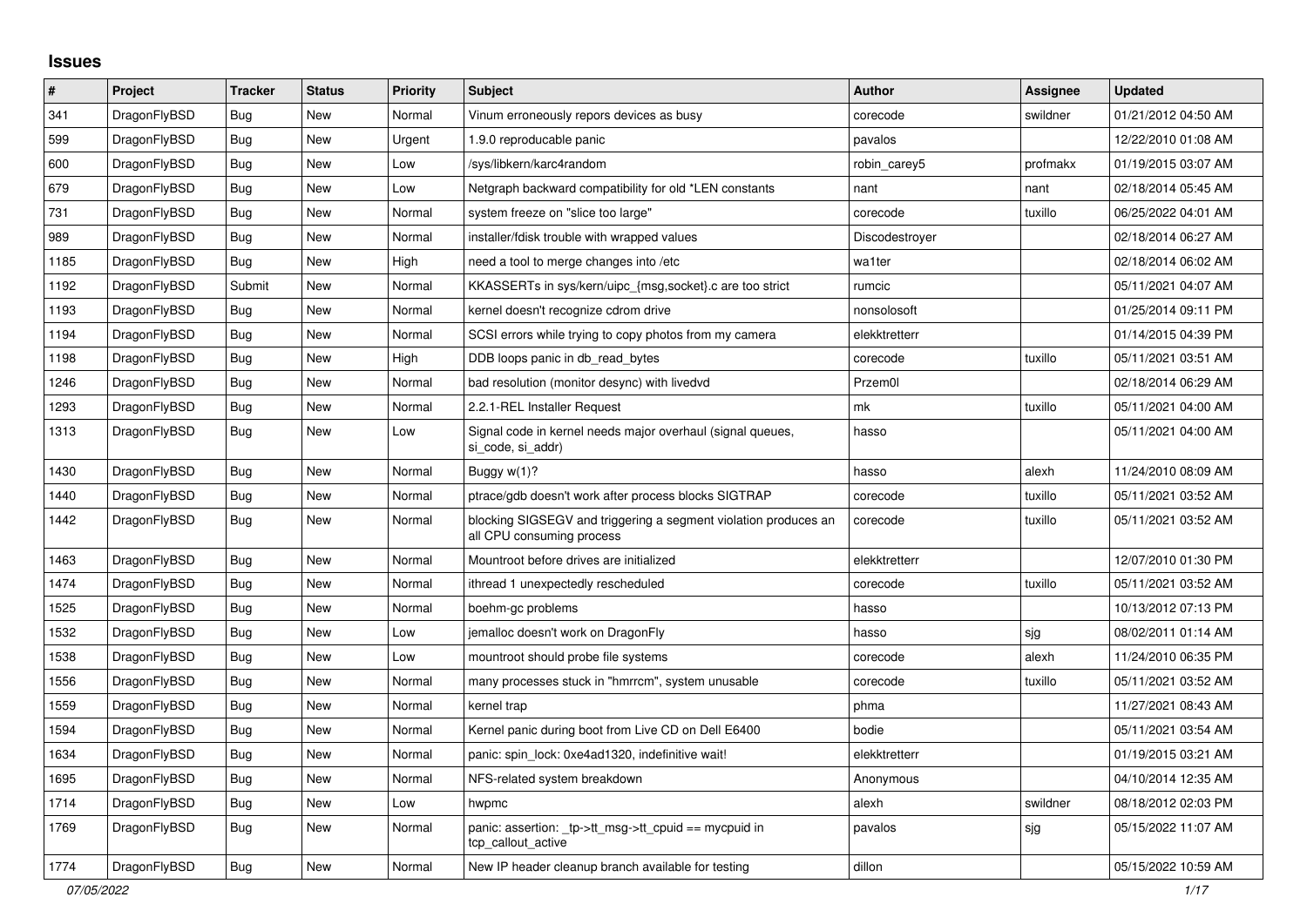## **Issues**

| $\pmb{\#}$ | Project      | <b>Tracker</b> | <b>Status</b> | <b>Priority</b> | <b>Subject</b>                                                                               | <b>Author</b>  | <b>Assignee</b> | <b>Updated</b>      |
|------------|--------------|----------------|---------------|-----------------|----------------------------------------------------------------------------------------------|----------------|-----------------|---------------------|
| 341        | DragonFlyBSD | Bug            | <b>New</b>    | Normal          | Vinum erroneously repors devices as busy                                                     | corecode       | swildner        | 01/21/2012 04:50 AM |
| 599        | DragonFlyBSD | Bug            | <b>New</b>    | Urgent          | 1.9.0 reproducable panic                                                                     | pavalos        |                 | 12/22/2010 01:08 AM |
| 600        | DragonFlyBSD | Bug            | <b>New</b>    | Low             | /sys/libkern/karc4random                                                                     | robin carey5   | profmakx        | 01/19/2015 03:07 AM |
| 679        | DragonFlyBSD | Bug            | <b>New</b>    | Low             | Netgraph backward compatibility for old *LEN constants                                       | nant           | nant            | 02/18/2014 05:45 AM |
| 731        | DragonFlyBSD | <b>Bug</b>     | <b>New</b>    | Normal          | system freeze on "slice too large"                                                           | corecode       | tuxillo         | 06/25/2022 04:01 AM |
| 989        | DragonFlyBSD | <b>Bug</b>     | <b>New</b>    | Normal          | installer/fdisk trouble with wrapped values                                                  | Discodestroyer |                 | 02/18/2014 06:27 AM |
| 1185       | DragonFlyBSD | Bug            | <b>New</b>    | High            | need a tool to merge changes into /etc                                                       | wa1ter         |                 | 02/18/2014 06:02 AM |
| 1192       | DragonFlyBSD | Submit         | <b>New</b>    | Normal          | KKASSERTs in sys/kern/uipc_{msg,socket}.c are too strict                                     | rumcic         |                 | 05/11/2021 04:07 AM |
| 1193       | DragonFlyBSD | Bug            | <b>New</b>    | Normal          | kernel doesn't recognize cdrom drive                                                         | nonsolosoft    |                 | 01/25/2014 09:11 PM |
| 1194       | DragonFlyBSD | Bug            | <b>New</b>    | Normal          | SCSI errors while trying to copy photos from my camera                                       | elekktretterr  |                 | 01/14/2015 04:39 PM |
| 1198       | DragonFlyBSD | Bug            | <b>New</b>    | High            | DDB loops panic in db_read_bytes                                                             | corecode       | tuxillo         | 05/11/2021 03:51 AM |
| 1246       | DragonFlyBSD | Bug            | <b>New</b>    | Normal          | bad resolution (monitor desync) with livedvd                                                 | Przem0l        |                 | 02/18/2014 06:29 AM |
| 1293       | DragonFlyBSD | Bug            | <b>New</b>    | Normal          | 2.2.1-REL Installer Request                                                                  | mk             | tuxillo         | 05/11/2021 04:00 AM |
| 1313       | DragonFlyBSD | Bug            | <b>New</b>    | Low             | Signal code in kernel needs major overhaul (signal queues,<br>si code, si addr)              | hasso          |                 | 05/11/2021 04:00 AM |
| 1430       | DragonFlyBSD | Bug            | <b>New</b>    | Normal          | Buggy w(1)?                                                                                  | hasso          | alexh           | 11/24/2010 08:09 AM |
| 1440       | DragonFlyBSD | <b>Bug</b>     | <b>New</b>    | Normal          | ptrace/gdb doesn't work after process blocks SIGTRAP                                         | corecode       | tuxillo         | 05/11/2021 03:52 AM |
| 1442       | DragonFlyBSD | Bug            | <b>New</b>    | Normal          | blocking SIGSEGV and triggering a segment violation produces an<br>all CPU consuming process | corecode       | tuxillo         | 05/11/2021 03:52 AM |
| 1463       | DragonFlyBSD | <b>Bug</b>     | <b>New</b>    | Normal          | Mountroot before drives are initialized                                                      | elekktretterr  |                 | 12/07/2010 01:30 PM |
| 1474       | DragonFlyBSD | Bug            | <b>New</b>    | Normal          | ithread 1 unexpectedly rescheduled                                                           | corecode       | tuxillo         | 05/11/2021 03:52 AM |
| 1525       | DragonFlyBSD | <b>Bug</b>     | <b>New</b>    | Normal          | boehm-gc problems                                                                            | hasso          |                 | 10/13/2012 07:13 PM |
| 1532       | DragonFlyBSD | Bug            | <b>New</b>    | Low             | jemalloc doesn't work on DragonFly                                                           | hasso          | sjg             | 08/02/2011 01:14 AM |
| 1538       | DragonFlyBSD | Bug            | <b>New</b>    | Low             | mountroot should probe file systems                                                          | corecode       | alexh           | 11/24/2010 06:35 PM |
| 1556       | DragonFlyBSD | <b>Bug</b>     | <b>New</b>    | Normal          | many processes stuck in "hmrrcm", system unusable                                            | corecode       | tuxillo         | 05/11/2021 03:52 AM |
| 1559       | DragonFlyBSD | <b>Bug</b>     | <b>New</b>    | Normal          | kernel trap                                                                                  | phma           |                 | 11/27/2021 08:43 AM |
| 1594       | DragonFlyBSD | Bug            | New           | Normal          | Kernel panic during boot from Live CD on Dell E6400                                          | bodie          |                 | 05/11/2021 03:54 AM |
| 1634       | DragonFlyBSD | <b>Bug</b>     | <b>New</b>    | Normal          | panic: spin lock: 0xe4ad1320, indefinitive wait!                                             | elekktretterr  |                 | 01/19/2015 03:21 AM |
| 1695       | DragonFlyBSD | <b>Bug</b>     | <b>New</b>    | Normal          | NFS-related system breakdown                                                                 | Anonymous      |                 | 04/10/2014 12:35 AM |
| 1714       | DragonFlyBSD | <b>Bug</b>     | <b>New</b>    | Low             | hwpmc                                                                                        | alexh          | swildner        | 08/18/2012 02:03 PM |
| 1769       | DragonFlyBSD | <b>Bug</b>     | <b>New</b>    | Normal          | panic: assertion: tp->tt_msg->tt_cpuid == mycpuid in<br>tcp_callout_active                   | pavalos        | sjg             | 05/15/2022 11:07 AM |
| 1774       | DragonFlyBSD | <b>Bug</b>     | <b>New</b>    | Normal          | New IP header cleanup branch available for testing                                           | dillon         |                 | 05/15/2022 10:59 AM |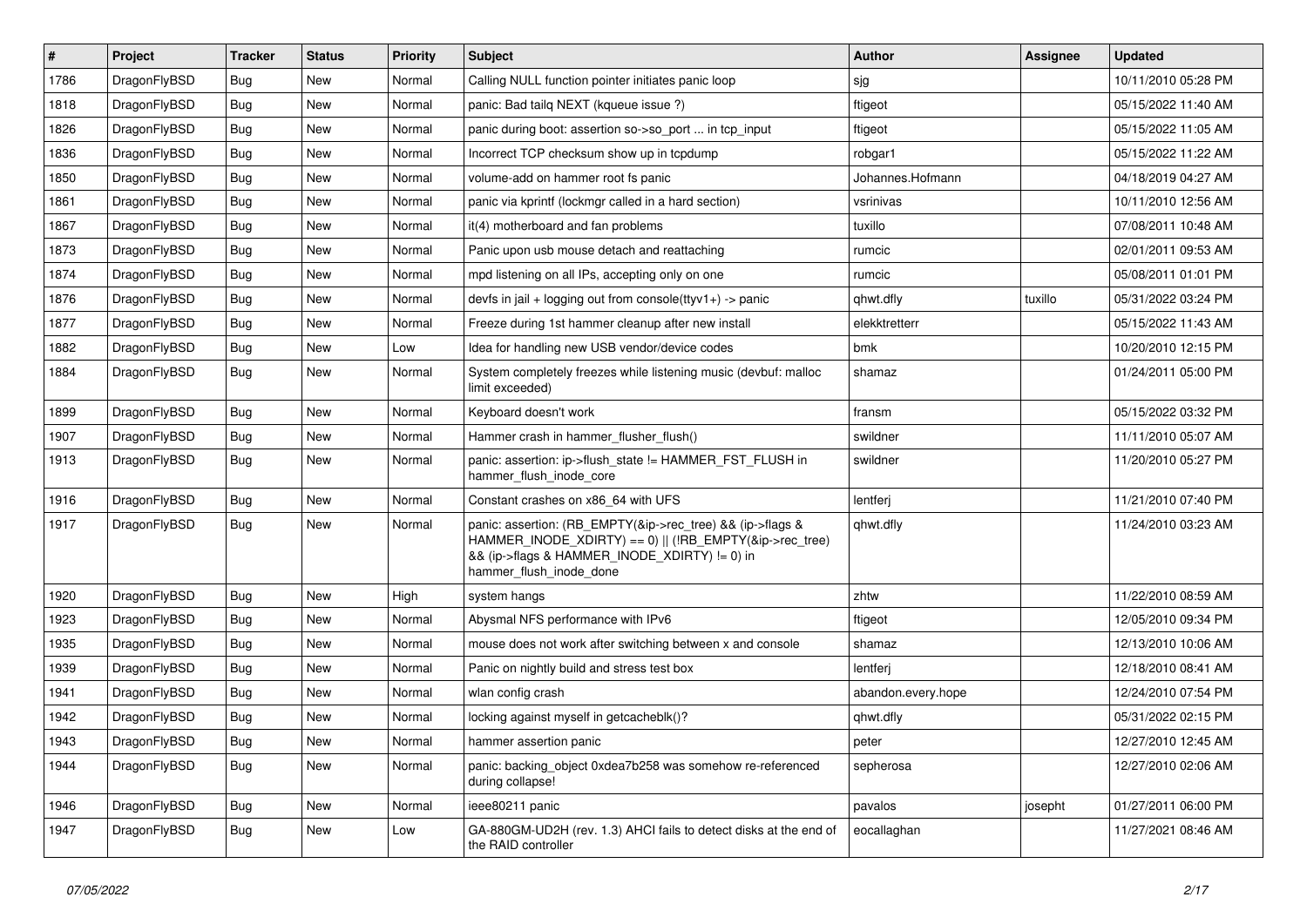| $\#$ | Project      | <b>Tracker</b> | <b>Status</b> | <b>Priority</b> | <b>Subject</b>                                                                                                                                                                                    | <b>Author</b>      | Assignee | <b>Updated</b>      |
|------|--------------|----------------|---------------|-----------------|---------------------------------------------------------------------------------------------------------------------------------------------------------------------------------------------------|--------------------|----------|---------------------|
| 1786 | DragonFlyBSD | <b>Bug</b>     | <b>New</b>    | Normal          | Calling NULL function pointer initiates panic loop                                                                                                                                                | sjg                |          | 10/11/2010 05:28 PM |
| 1818 | DragonFlyBSD | <b>Bug</b>     | <b>New</b>    | Normal          | panic: Bad tailg NEXT (kqueue issue ?)                                                                                                                                                            | ftigeot            |          | 05/15/2022 11:40 AM |
| 1826 | DragonFlyBSD | Bug            | New           | Normal          | panic during boot: assertion so->so_port  in tcp_input                                                                                                                                            | ftigeot            |          | 05/15/2022 11:05 AM |
| 1836 | DragonFlyBSD | Bug            | <b>New</b>    | Normal          | Incorrect TCP checksum show up in tcpdump                                                                                                                                                         | robgar1            |          | 05/15/2022 11:22 AM |
| 1850 | DragonFlyBSD | Bug            | New           | Normal          | volume-add on hammer root fs panic                                                                                                                                                                | Johannes.Hofmann   |          | 04/18/2019 04:27 AM |
| 1861 | DragonFlyBSD | <b>Bug</b>     | New           | Normal          | panic via kprintf (lockmgr called in a hard section)                                                                                                                                              | vsrinivas          |          | 10/11/2010 12:56 AM |
| 1867 | DragonFlyBSD | <b>Bug</b>     | <b>New</b>    | Normal          | it(4) motherboard and fan problems                                                                                                                                                                | tuxillo            |          | 07/08/2011 10:48 AM |
| 1873 | DragonFlyBSD | Bug            | New           | Normal          | Panic upon usb mouse detach and reattaching                                                                                                                                                       | rumcic             |          | 02/01/2011 09:53 AM |
| 1874 | DragonFlyBSD | Bug            | New           | Normal          | mpd listening on all IPs, accepting only on one                                                                                                                                                   | rumcic             |          | 05/08/2011 01:01 PM |
| 1876 | DragonFlyBSD | <b>Bug</b>     | New           | Normal          | devfs in jail + logging out from console(ttyv1+) -> panic                                                                                                                                         | qhwt.dfly          | tuxillo  | 05/31/2022 03:24 PM |
| 1877 | DragonFlyBSD | Bug            | New           | Normal          | Freeze during 1st hammer cleanup after new install                                                                                                                                                | elekktretterr      |          | 05/15/2022 11:43 AM |
| 1882 | DragonFlyBSD | <b>Bug</b>     | <b>New</b>    | Low             | Idea for handling new USB vendor/device codes                                                                                                                                                     | bmk                |          | 10/20/2010 12:15 PM |
| 1884 | DragonFlyBSD | <b>Bug</b>     | New           | Normal          | System completely freezes while listening music (devbuf: malloc<br>limit exceeded)                                                                                                                | shamaz             |          | 01/24/2011 05:00 PM |
| 1899 | DragonFlyBSD | <b>Bug</b>     | New           | Normal          | Keyboard doesn't work                                                                                                                                                                             | fransm             |          | 05/15/2022 03:32 PM |
| 1907 | DragonFlyBSD | <b>Bug</b>     | New           | Normal          | Hammer crash in hammer flusher flush()                                                                                                                                                            | swildner           |          | 11/11/2010 05:07 AM |
| 1913 | DragonFlyBSD | Bug            | New           | Normal          | panic: assertion: ip->flush state != HAMMER FST FLUSH in<br>hammer_flush_inode_core                                                                                                               | swildner           |          | 11/20/2010 05:27 PM |
| 1916 | DragonFlyBSD | <b>Bug</b>     | New           | Normal          | Constant crashes on x86 64 with UFS                                                                                                                                                               | lentferj           |          | 11/21/2010 07:40 PM |
| 1917 | DragonFlyBSD | <b>Bug</b>     | New           | Normal          | panic: assertion: (RB_EMPTY(&ip->rec_tree) && (ip->flags &<br>HAMMER INODE_XDIRTY) == 0)    (!RB_EMPTY(&ip->rec_tree)<br>&& (ip->flags & HAMMER_INODE_XDIRTY) != 0) in<br>hammer_flush_inode_done | qhwt.dfly          |          | 11/24/2010 03:23 AM |
| 1920 | DragonFlyBSD | <b>Bug</b>     | New           | High            | system hangs                                                                                                                                                                                      | zhtw               |          | 11/22/2010 08:59 AM |
| 1923 | DragonFlyBSD | <b>Bug</b>     | New           | Normal          | Abysmal NFS performance with IPv6                                                                                                                                                                 | ftigeot            |          | 12/05/2010 09:34 PM |
| 1935 | DragonFlyBSD | <b>Bug</b>     | <b>New</b>    | Normal          | mouse does not work after switching between x and console                                                                                                                                         | shamaz             |          | 12/13/2010 10:06 AM |
| 1939 | DragonFlyBSD | Bug            | New           | Normal          | Panic on nightly build and stress test box                                                                                                                                                        | lentferj           |          | 12/18/2010 08:41 AM |
| 1941 | DragonFlyBSD | Bug            | New           | Normal          | wlan config crash                                                                                                                                                                                 | abandon.every.hope |          | 12/24/2010 07:54 PM |
| 1942 | DragonFlyBSD | Bug            | New           | Normal          | locking against myself in getcacheblk()?                                                                                                                                                          | ghwt.dfly          |          | 05/31/2022 02:15 PM |
| 1943 | DragonFlyBSD | <b>Bug</b>     | New           | Normal          | hammer assertion panic                                                                                                                                                                            | peter              |          | 12/27/2010 12:45 AM |
| 1944 | DragonFlyBSD | Bug            | New           | Normal          | panic: backing object 0xdea7b258 was somehow re-referenced<br>during collapse!                                                                                                                    | sepherosa          |          | 12/27/2010 02:06 AM |
| 1946 | DragonFlyBSD | <b>Bug</b>     | New           | Normal          | ieee80211 panic                                                                                                                                                                                   | pavalos            | josepht  | 01/27/2011 06:00 PM |
| 1947 | DragonFlyBSD | <b>Bug</b>     | New           | Low             | GA-880GM-UD2H (rev. 1.3) AHCI fails to detect disks at the end of<br>the RAID controller                                                                                                          | eocallaghan        |          | 11/27/2021 08:46 AM |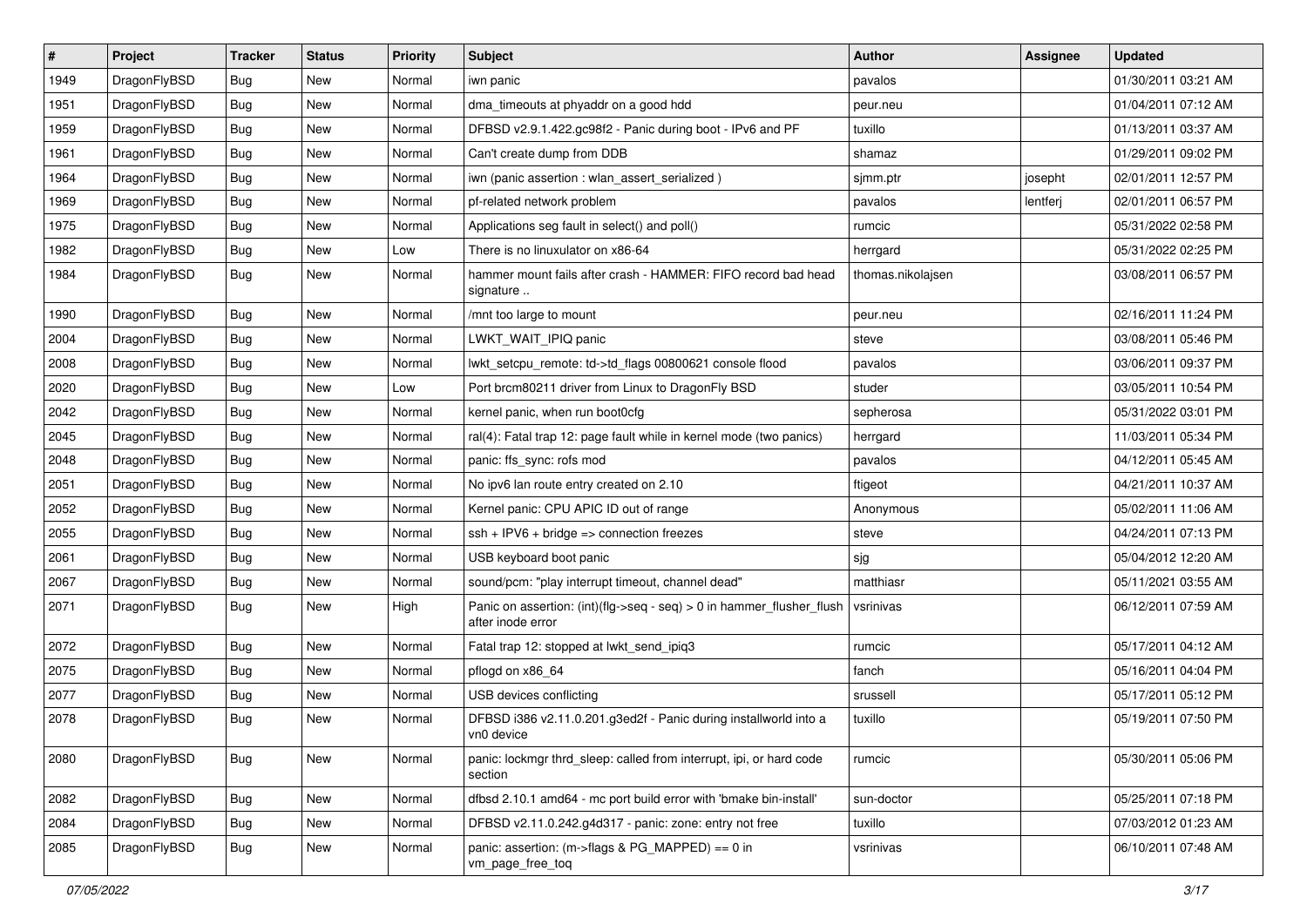| $\sharp$ | Project      | <b>Tracker</b> | <b>Status</b> | <b>Priority</b> | Subject                                                                                    | <b>Author</b>     | Assignee | <b>Updated</b>      |
|----------|--------------|----------------|---------------|-----------------|--------------------------------------------------------------------------------------------|-------------------|----------|---------------------|
| 1949     | DragonFlyBSD | <b>Bug</b>     | New           | Normal          | iwn panic                                                                                  | pavalos           |          | 01/30/2011 03:21 AM |
| 1951     | DragonFlyBSD | Bug            | <b>New</b>    | Normal          | dma_timeouts at phyaddr on a good hdd                                                      | peur.neu          |          | 01/04/2011 07:12 AM |
| 1959     | DragonFlyBSD | <b>Bug</b>     | New           | Normal          | DFBSD v2.9.1.422.gc98f2 - Panic during boot - IPv6 and PF                                  | tuxillo           |          | 01/13/2011 03:37 AM |
| 1961     | DragonFlyBSD | <b>Bug</b>     | <b>New</b>    | Normal          | Can't create dump from DDB                                                                 | shamaz            |          | 01/29/2011 09:02 PM |
| 1964     | DragonFlyBSD | Bug            | <b>New</b>    | Normal          | iwn (panic assertion : wlan assert serialized)                                             | sjmm.ptr          | josepht  | 02/01/2011 12:57 PM |
| 1969     | DragonFlyBSD | <b>Bug</b>     | <b>New</b>    | Normal          | pf-related network problem                                                                 | pavalos           | lentferj | 02/01/2011 06:57 PM |
| 1975     | DragonFlyBSD | <b>Bug</b>     | New           | Normal          | Applications seg fault in select() and poll()                                              | rumcic            |          | 05/31/2022 02:58 PM |
| 1982     | DragonFlyBSD | <b>Bug</b>     | <b>New</b>    | Low             | There is no linuxulator on x86-64                                                          | herrgard          |          | 05/31/2022 02:25 PM |
| 1984     | DragonFlyBSD | <b>Bug</b>     | New           | Normal          | hammer mount fails after crash - HAMMER: FIFO record bad head<br>signature                 | thomas.nikolajsen |          | 03/08/2011 06:57 PM |
| 1990     | DragonFlyBSD | Bug            | <b>New</b>    | Normal          | /mnt too large to mount                                                                    | peur.neu          |          | 02/16/2011 11:24 PM |
| 2004     | DragonFlyBSD | <b>Bug</b>     | New           | Normal          | LWKT WAIT IPIQ panic                                                                       | steve             |          | 03/08/2011 05:46 PM |
| 2008     | DragonFlyBSD | <b>Bug</b>     | New           | Normal          | lwkt setcpu remote: td->td flags 00800621 console flood                                    | pavalos           |          | 03/06/2011 09:37 PM |
| 2020     | DragonFlyBSD | <b>Bug</b>     | <b>New</b>    | Low             | Port brcm80211 driver from Linux to DragonFly BSD                                          | studer            |          | 03/05/2011 10:54 PM |
| 2042     | DragonFlyBSD | <b>Bug</b>     | New           | Normal          | kernel panic, when run boot0cfg                                                            | sepherosa         |          | 05/31/2022 03:01 PM |
| 2045     | DragonFlyBSD | <b>Bug</b>     | <b>New</b>    | Normal          | ral(4): Fatal trap 12: page fault while in kernel mode (two panics)                        | herrgard          |          | 11/03/2011 05:34 PM |
| 2048     | DragonFlyBSD | <b>Bug</b>     | New           | Normal          | panic: ffs_sync: rofs mod                                                                  | pavalos           |          | 04/12/2011 05:45 AM |
| 2051     | DragonFlyBSD | <b>Bug</b>     | <b>New</b>    | Normal          | No ipv6 lan route entry created on 2.10                                                    | ftigeot           |          | 04/21/2011 10:37 AM |
| 2052     | DragonFlyBSD | <b>Bug</b>     | <b>New</b>    | Normal          | Kernel panic: CPU APIC ID out of range                                                     | Anonymous         |          | 05/02/2011 11:06 AM |
| 2055     | DragonFlyBSD | <b>Bug</b>     | <b>New</b>    | Normal          | $ssh + IPV6 + bridge \Rightarrow connection freezes$                                       | steve             |          | 04/24/2011 07:13 PM |
| 2061     | DragonFlyBSD | <b>Bug</b>     | <b>New</b>    | Normal          | USB keyboard boot panic                                                                    | sjg               |          | 05/04/2012 12:20 AM |
| 2067     | DragonFlyBSD | <b>Bug</b>     | New           | Normal          | sound/pcm: "play interrupt timeout, channel dead"                                          | matthiasr         |          | 05/11/2021 03:55 AM |
| 2071     | DragonFlyBSD | Bug            | New           | High            | Panic on assertion: (int)(flg->seq - seq) > 0 in hammer_flusher_flush<br>after inode error | vsrinivas         |          | 06/12/2011 07:59 AM |
| 2072     | DragonFlyBSD | Bug            | New           | Normal          | Fatal trap 12: stopped at lwkt_send_ipiq3                                                  | rumcic            |          | 05/17/2011 04:12 AM |
| 2075     | DragonFlyBSD | <b>Bug</b>     | New           | Normal          | pflogd on x86_64                                                                           | fanch             |          | 05/16/2011 04:04 PM |
| 2077     | DragonFlyBSD | <b>Bug</b>     | <b>New</b>    | Normal          | USB devices conflicting                                                                    | srussell          |          | 05/17/2011 05:12 PM |
| 2078     | DragonFlyBSD | Bug            | New           | Normal          | DFBSD i386 v2.11.0.201.g3ed2f - Panic during installworld into a<br>vn0 device             | tuxillo           |          | 05/19/2011 07:50 PM |
| 2080     | DragonFlyBSD | Bug            | New           | Normal          | panic: lockmgr thrd sleep: called from interrupt, ipi, or hard code<br>section             | rumcic            |          | 05/30/2011 05:06 PM |
| 2082     | DragonFlyBSD | Bug            | <b>New</b>    | Normal          | dfbsd 2.10.1 amd64 - mc port build error with 'bmake bin-install'                          | sun-doctor        |          | 05/25/2011 07:18 PM |
| 2084     | DragonFlyBSD | <b>Bug</b>     | New           | Normal          | DFBSD v2.11.0.242.g4d317 - panic: zone: entry not free                                     | tuxillo           |          | 07/03/2012 01:23 AM |
| 2085     | DragonFlyBSD | Bug            | New           | Normal          | panic: assertion: (m->flags & PG_MAPPED) == 0 in<br>vm_page_free_toq                       | vsrinivas         |          | 06/10/2011 07:48 AM |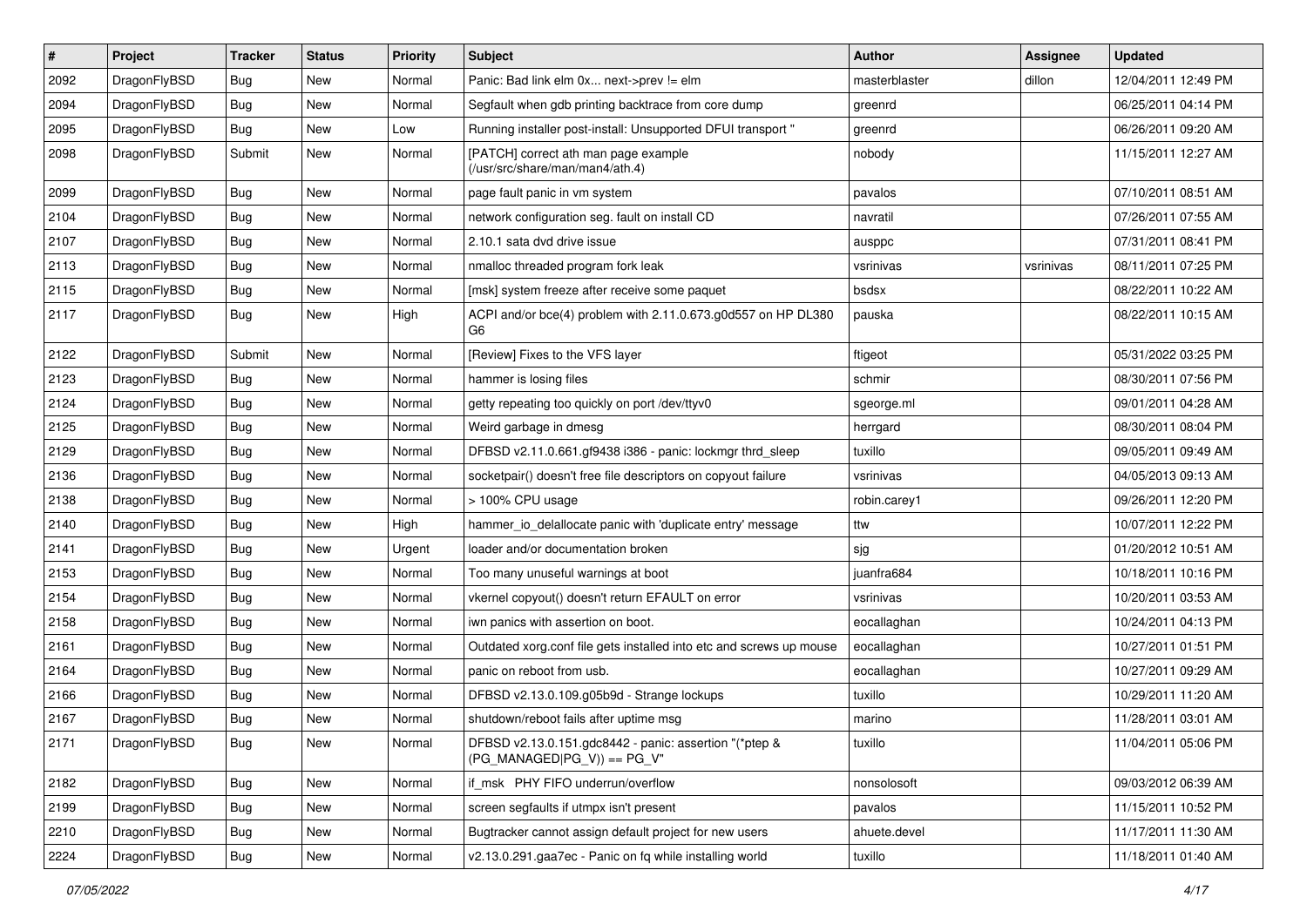| #    | Project      | <b>Tracker</b> | <b>Status</b> | <b>Priority</b> | <b>Subject</b>                                                                         | Author        | Assignee  | <b>Updated</b>      |
|------|--------------|----------------|---------------|-----------------|----------------------------------------------------------------------------------------|---------------|-----------|---------------------|
| 2092 | DragonFlyBSD | Bug            | <b>New</b>    | Normal          | Panic: Bad link elm 0x next->prev != elm                                               | masterblaster | dillon    | 12/04/2011 12:49 PM |
| 2094 | DragonFlyBSD | Bug            | <b>New</b>    | Normal          | Segfault when gdb printing backtrace from core dump                                    | greenrd       |           | 06/25/2011 04:14 PM |
| 2095 | DragonFlyBSD | <b>Bug</b>     | New           | Low             | Running installer post-install: Unsupported DFUI transport"                            | greenrd       |           | 06/26/2011 09:20 AM |
| 2098 | DragonFlyBSD | Submit         | New           | Normal          | [PATCH] correct ath man page example<br>(/usr/src/share/man/man4/ath.4)                | nobody        |           | 11/15/2011 12:27 AM |
| 2099 | DragonFlyBSD | <b>Bug</b>     | New           | Normal          | page fault panic in vm system                                                          | pavalos       |           | 07/10/2011 08:51 AM |
| 2104 | DragonFlyBSD | Bug            | <b>New</b>    | Normal          | network configuration seg. fault on install CD                                         | navratil      |           | 07/26/2011 07:55 AM |
| 2107 | DragonFlyBSD | <b>Bug</b>     | New           | Normal          | 2.10.1 sata dvd drive issue                                                            | ausppc        |           | 07/31/2011 08:41 PM |
| 2113 | DragonFlyBSD | Bug            | New           | Normal          | nmalloc threaded program fork leak                                                     | vsrinivas     | vsrinivas | 08/11/2011 07:25 PM |
| 2115 | DragonFlyBSD | Bug            | <b>New</b>    | Normal          | [msk] system freeze after receive some paquet                                          | bsdsx         |           | 08/22/2011 10:22 AM |
| 2117 | DragonFlyBSD | <b>Bug</b>     | New           | High            | ACPI and/or bce(4) problem with 2.11.0.673.g0d557 on HP DL380<br>G6                    | pauska        |           | 08/22/2011 10:15 AM |
| 2122 | DragonFlyBSD | Submit         | New           | Normal          | [Review] Fixes to the VFS layer                                                        | ftigeot       |           | 05/31/2022 03:25 PM |
| 2123 | DragonFlyBSD | Bug            | New           | Normal          | hammer is losing files                                                                 | schmir        |           | 08/30/2011 07:56 PM |
| 2124 | DragonFlyBSD | Bug            | <b>New</b>    | Normal          | getty repeating too quickly on port /dev/ttyv0                                         | sgeorge.ml    |           | 09/01/2011 04:28 AM |
| 2125 | DragonFlyBSD | <b>Bug</b>     | New           | Normal          | Weird garbage in dmesg                                                                 | herrgard      |           | 08/30/2011 08:04 PM |
| 2129 | DragonFlyBSD | Bug            | New           | Normal          | DFBSD v2.11.0.661.gf9438 i386 - panic: lockmgr thrd_sleep                              | tuxillo       |           | 09/05/2011 09:49 AM |
| 2136 | DragonFlyBSD | Bug            | <b>New</b>    | Normal          | socketpair() doesn't free file descriptors on copyout failure                          | vsrinivas     |           | 04/05/2013 09:13 AM |
| 2138 | DragonFlyBSD | <b>Bug</b>     | New           | Normal          | > 100% CPU usage                                                                       | robin.carey1  |           | 09/26/2011 12:20 PM |
| 2140 | DragonFlyBSD | Bug            | <b>New</b>    | High            | hammer_io_delallocate panic with 'duplicate entry' message                             | ttw           |           | 10/07/2011 12:22 PM |
| 2141 | DragonFlyBSD | <b>Bug</b>     | New           | Urgent          | loader and/or documentation broken                                                     | sjg           |           | 01/20/2012 10:51 AM |
| 2153 | DragonFlyBSD | <b>Bug</b>     | New           | Normal          | Too many unuseful warnings at boot                                                     | juanfra684    |           | 10/18/2011 10:16 PM |
| 2154 | DragonFlyBSD | <b>Bug</b>     | New           | Normal          | vkernel copyout() doesn't return EFAULT on error                                       | vsrinivas     |           | 10/20/2011 03:53 AM |
| 2158 | DragonFlyBSD | <b>Bug</b>     | New           | Normal          | iwn panics with assertion on boot.                                                     | eocallaghan   |           | 10/24/2011 04:13 PM |
| 2161 | DragonFlyBSD | Bug            | New           | Normal          | Outdated xorg.conf file gets installed into etc and screws up mouse                    | eocallaghan   |           | 10/27/2011 01:51 PM |
| 2164 | DragonFlyBSD | Bug            | New           | Normal          | panic on reboot from usb.                                                              | eocallaghan   |           | 10/27/2011 09:29 AM |
| 2166 | DragonFlyBSD | <b>Bug</b>     | New           | Normal          | DFBSD v2.13.0.109.g05b9d - Strange lockups                                             | tuxillo       |           | 10/29/2011 11:20 AM |
| 2167 | DragonFlyBSD | <b>Bug</b>     | New           | Normal          | shutdown/reboot fails after uptime msg                                                 | marino        |           | 11/28/2011 03:01 AM |
| 2171 | DragonFlyBSD | Bug            | New           | Normal          | DFBSD v2.13.0.151.gdc8442 - panic: assertion "(*ptep &<br>$(PG_MANAGED PG_V)$ == PG_V" | tuxillo       |           | 11/04/2011 05:06 PM |
| 2182 | DragonFlyBSD | <b>Bug</b>     | New           | Normal          | if msk PHY FIFO underrun/overflow                                                      | nonsolosoft   |           | 09/03/2012 06:39 AM |
| 2199 | DragonFlyBSD | <b>Bug</b>     | New           | Normal          | screen segfaults if utmpx isn't present                                                | pavalos       |           | 11/15/2011 10:52 PM |
| 2210 | DragonFlyBSD | Bug            | New           | Normal          | Bugtracker cannot assign default project for new users                                 | ahuete.devel  |           | 11/17/2011 11:30 AM |
| 2224 | DragonFlyBSD | Bug            | New           | Normal          | v2.13.0.291.gaa7ec - Panic on fq while installing world                                | tuxillo       |           | 11/18/2011 01:40 AM |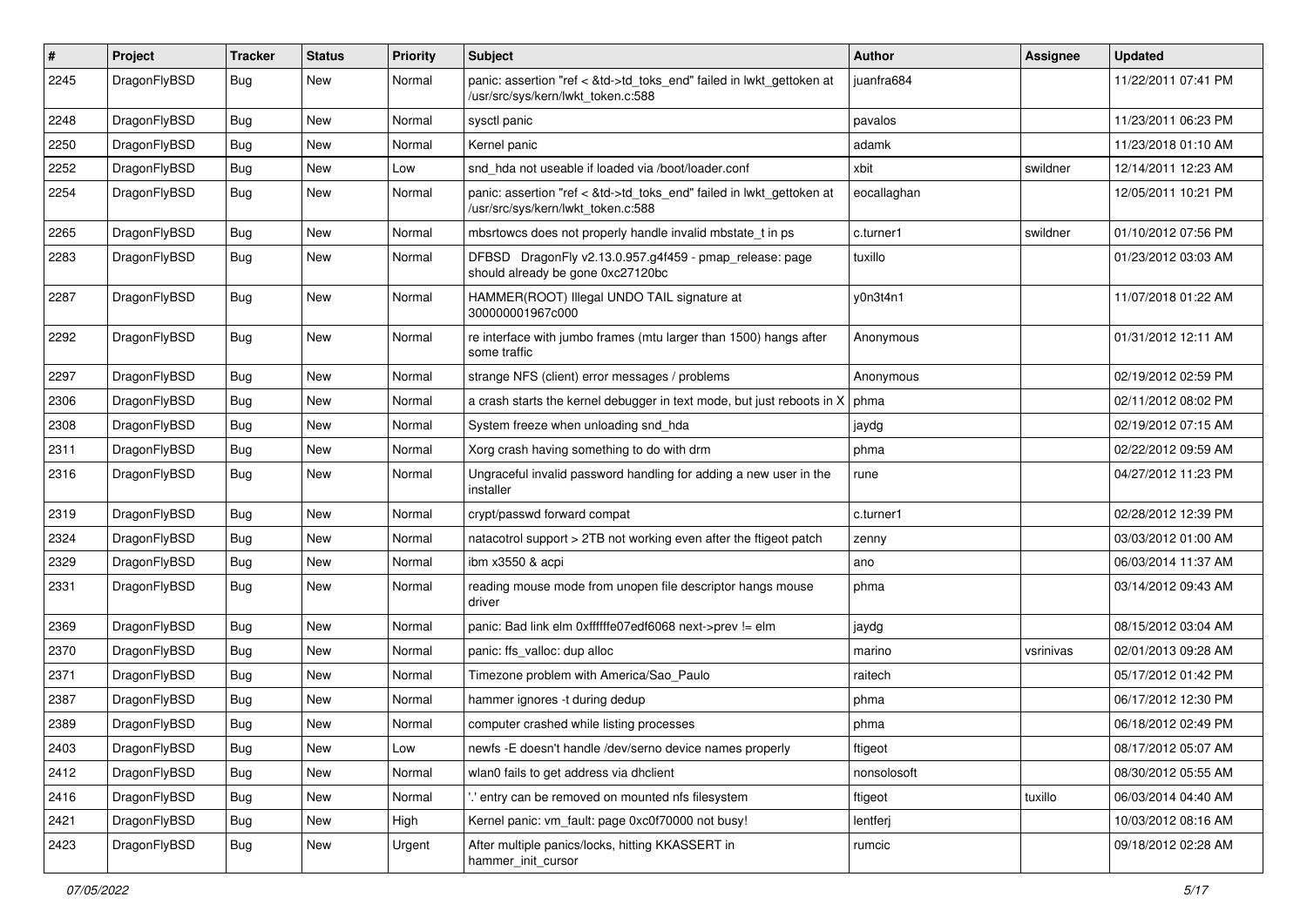| #    | Project      | <b>Tracker</b> | <b>Status</b> | <b>Priority</b> | Subject                                                                                                    | Author      | Assignee  | <b>Updated</b>      |
|------|--------------|----------------|---------------|-----------------|------------------------------------------------------------------------------------------------------------|-------------|-----------|---------------------|
| 2245 | DragonFlyBSD | Bug            | New           | Normal          | panic: assertion "ref < &td->td_toks_end" failed in lwkt_gettoken at<br>/usr/src/sys/kern/lwkt_token.c:588 | juanfra684  |           | 11/22/2011 07:41 PM |
| 2248 | DragonFlyBSD | <b>Bug</b>     | <b>New</b>    | Normal          | sysctl panic                                                                                               | pavalos     |           | 11/23/2011 06:23 PM |
| 2250 | DragonFlyBSD | <b>Bug</b>     | New           | Normal          | Kernel panic                                                                                               | adamk       |           | 11/23/2018 01:10 AM |
| 2252 | DragonFlyBSD | <b>Bug</b>     | <b>New</b>    | Low             | snd hda not useable if loaded via /boot/loader.conf                                                        | xbit        | swildner  | 12/14/2011 12:23 AM |
| 2254 | DragonFlyBSD | <b>Bug</b>     | New           | Normal          | panic: assertion "ref < &td->td toks end" failed in lwkt gettoken at<br>/usr/src/sys/kern/lwkt token.c:588 | eocallaghan |           | 12/05/2011 10:21 PM |
| 2265 | DragonFlyBSD | Bug            | <b>New</b>    | Normal          | mbsrtowcs does not properly handle invalid mbstate t in ps                                                 | c.turner1   | swildner  | 01/10/2012 07:56 PM |
| 2283 | DragonFlyBSD | <b>Bug</b>     | New           | Normal          | DFBSD DragonFly v2.13.0.957.g4f459 - pmap_release: page<br>should already be gone 0xc27120bc               | tuxillo     |           | 01/23/2012 03:03 AM |
| 2287 | DragonFlyBSD | Bug            | <b>New</b>    | Normal          | HAMMER(ROOT) Illegal UNDO TAIL signature at<br>300000001967c000                                            | y0n3t4n1    |           | 11/07/2018 01:22 AM |
| 2292 | DragonFlyBSD | <b>Bug</b>     | <b>New</b>    | Normal          | re interface with jumbo frames (mtu larger than 1500) hangs after<br>some traffic                          | Anonymous   |           | 01/31/2012 12:11 AM |
| 2297 | DragonFlyBSD | Bug            | <b>New</b>    | Normal          | strange NFS (client) error messages / problems                                                             | Anonymous   |           | 02/19/2012 02:59 PM |
| 2306 | DragonFlyBSD | <b>Bug</b>     | <b>New</b>    | Normal          | a crash starts the kernel debugger in text mode, but just reboots in X                                     | phma        |           | 02/11/2012 08:02 PM |
| 2308 | DragonFlyBSD | <b>Bug</b>     | New           | Normal          | System freeze when unloading snd hda                                                                       | jaydg       |           | 02/19/2012 07:15 AM |
| 2311 | DragonFlyBSD | <b>Bug</b>     | <b>New</b>    | Normal          | Xorg crash having something to do with drm                                                                 | phma        |           | 02/22/2012 09:59 AM |
| 2316 | DragonFlyBSD | <b>Bug</b>     | New           | Normal          | Ungraceful invalid password handling for adding a new user in the<br>installer                             | rune        |           | 04/27/2012 11:23 PM |
| 2319 | DragonFlyBSD | Bug            | <b>New</b>    | Normal          | crypt/passwd forward compat                                                                                | c.turner1   |           | 02/28/2012 12:39 PM |
| 2324 | DragonFlyBSD | Bug            | <b>New</b>    | Normal          | natacotrol support > 2TB not working even after the ftigeot patch                                          | zenny       |           | 03/03/2012 01:00 AM |
| 2329 | DragonFlyBSD | <b>Bug</b>     | New           | Normal          | ibm x3550 & acpi                                                                                           | ano         |           | 06/03/2014 11:37 AM |
| 2331 | DragonFlyBSD | <b>Bug</b>     | New           | Normal          | reading mouse mode from unopen file descriptor hangs mouse<br>driver                                       | phma        |           | 03/14/2012 09:43 AM |
| 2369 | DragonFlyBSD | Bug            | <b>New</b>    | Normal          | panic: Bad link elm 0xffffffe07edf6068 next->prev != elm                                                   | jaydg       |           | 08/15/2012 03:04 AM |
| 2370 | DragonFlyBSD | <b>Bug</b>     | New           | Normal          | panic: ffs valloc: dup alloc                                                                               | marino      | vsrinivas | 02/01/2013 09:28 AM |
| 2371 | DragonFlyBSD | <b>Bug</b>     | New           | Normal          | Timezone problem with America/Sao Paulo                                                                    | raitech     |           | 05/17/2012 01:42 PM |
| 2387 | DragonFlyBSD | <b>Bug</b>     | <b>New</b>    | Normal          | hammer ignores -t during dedup                                                                             | phma        |           | 06/17/2012 12:30 PM |
| 2389 | DragonFlyBSD | Bug            | <b>New</b>    | Normal          | computer crashed while listing processes                                                                   | phma        |           | 06/18/2012 02:49 PM |
| 2403 | DragonFlyBSD | Bug            | <b>New</b>    | Low             | newfs -E doesn't handle /dev/serno device names properly                                                   | ftigeot     |           | 08/17/2012 05:07 AM |
| 2412 | DragonFlyBSD | Bug            | New           | Normal          | wlan0 fails to get address via dhclient                                                                    | nonsolosoft |           | 08/30/2012 05:55 AM |
| 2416 | DragonFlyBSD | <b>Bug</b>     | New           | Normal          | entry can be removed on mounted nfs filesystem                                                             | ftigeot     | tuxillo   | 06/03/2014 04:40 AM |
| 2421 | DragonFlyBSD | Bug            | New           | High            | Kernel panic: vm_fault: page 0xc0f70000 not busy!                                                          | lentferj    |           | 10/03/2012 08:16 AM |
| 2423 | DragonFlyBSD | <b>Bug</b>     | New           | Urgent          | After multiple panics/locks, hitting KKASSERT in<br>hammer_init_cursor                                     | rumcic      |           | 09/18/2012 02:28 AM |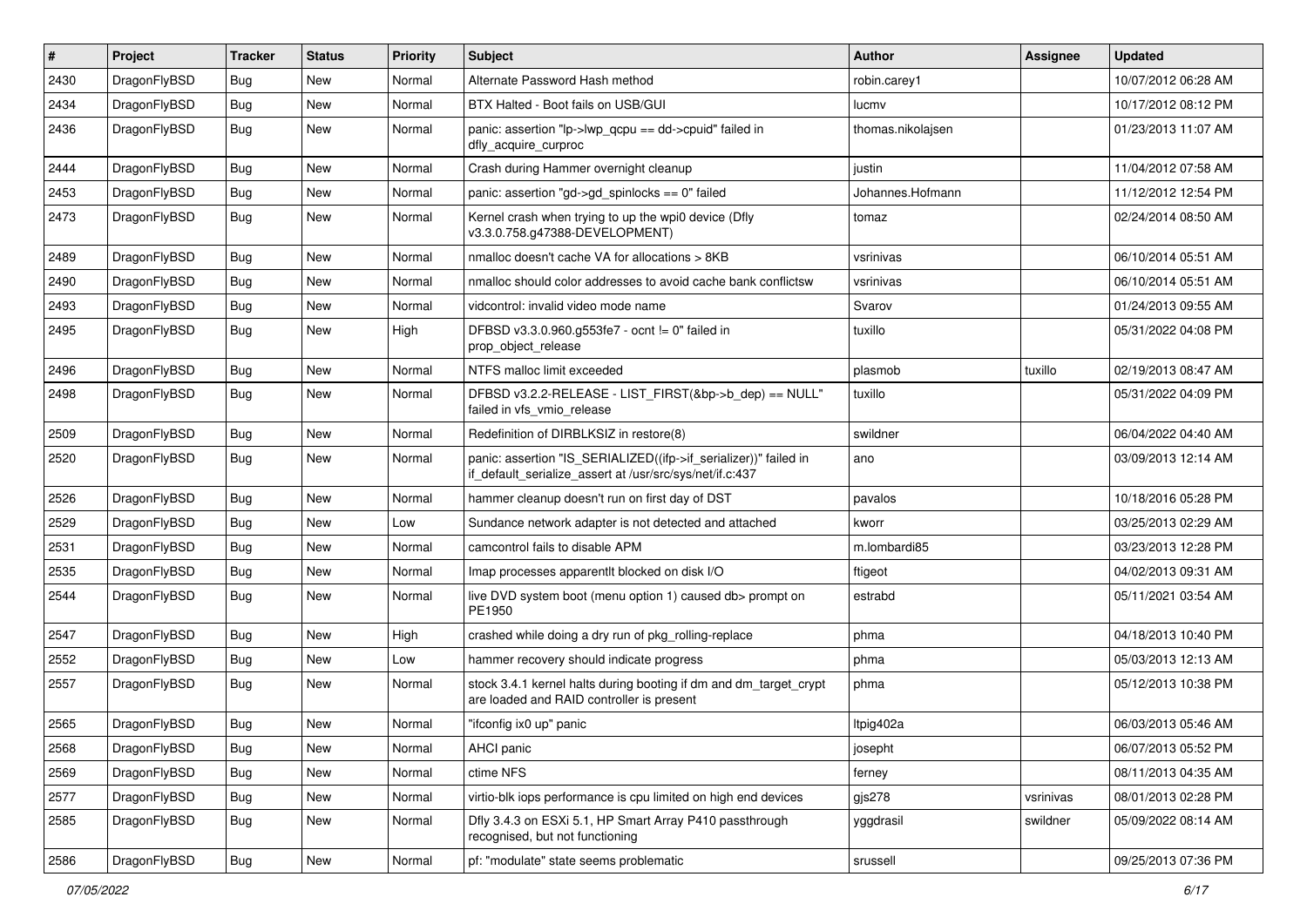| #    | Project      | <b>Tracker</b> | <b>Status</b> | <b>Priority</b> | <b>Subject</b>                                                                                                               | <b>Author</b>     | Assignee  | <b>Updated</b>      |
|------|--------------|----------------|---------------|-----------------|------------------------------------------------------------------------------------------------------------------------------|-------------------|-----------|---------------------|
| 2430 | DragonFlyBSD | Bug            | <b>New</b>    | Normal          | Alternate Password Hash method                                                                                               | robin.carey1      |           | 10/07/2012 06:28 AM |
| 2434 | DragonFlyBSD | <b>Bug</b>     | <b>New</b>    | Normal          | BTX Halted - Boot fails on USB/GUI                                                                                           | lucmv             |           | 10/17/2012 08:12 PM |
| 2436 | DragonFlyBSD | Bug            | New           | Normal          | panic: assertion "lp->lwp_qcpu == dd->cpuid" failed in<br>dfly_acquire_curproc                                               | thomas.nikolajsen |           | 01/23/2013 11:07 AM |
| 2444 | DragonFlyBSD | Bug            | <b>New</b>    | Normal          | Crash during Hammer overnight cleanup                                                                                        | justin            |           | 11/04/2012 07:58 AM |
| 2453 | DragonFlyBSD | <b>Bug</b>     | New           | Normal          | panic: assertion "gd->gd_spinlocks == 0" failed                                                                              | Johannes.Hofmann  |           | 11/12/2012 12:54 PM |
| 2473 | DragonFlyBSD | Bug            | <b>New</b>    | Normal          | Kernel crash when trying to up the wpi0 device (Dfly<br>v3.3.0.758.g47388-DEVELOPMENT)                                       | tomaz             |           | 02/24/2014 08:50 AM |
| 2489 | DragonFlyBSD | Bug            | <b>New</b>    | Normal          | nmalloc doesn't cache VA for allocations > 8KB                                                                               | vsrinivas         |           | 06/10/2014 05:51 AM |
| 2490 | DragonFlyBSD | <b>Bug</b>     | <b>New</b>    | Normal          | nmalloc should color addresses to avoid cache bank conflictsw                                                                | vsrinivas         |           | 06/10/2014 05:51 AM |
| 2493 | DragonFlyBSD | Bug            | <b>New</b>    | Normal          | vidcontrol: invalid video mode name                                                                                          | Svarov            |           | 01/24/2013 09:55 AM |
| 2495 | DragonFlyBSD | <b>Bug</b>     | <b>New</b>    | High            | DFBSD v3.3.0.960.g553fe7 - ocnt != 0" failed in<br>prop_object_release                                                       | tuxillo           |           | 05/31/2022 04:08 PM |
| 2496 | DragonFlyBSD | <b>Bug</b>     | <b>New</b>    | Normal          | NTFS malloc limit exceeded                                                                                                   | plasmob           | tuxillo   | 02/19/2013 08:47 AM |
| 2498 | DragonFlyBSD | Bug            | <b>New</b>    | Normal          | DFBSD v3.2.2-RELEASE - LIST_FIRST(&bp->b_dep) == NULL"<br>failed in vfs_vmio_release                                         | tuxillo           |           | 05/31/2022 04:09 PM |
| 2509 | DragonFlyBSD | Bug            | <b>New</b>    | Normal          | Redefinition of DIRBLKSIZ in restore(8)                                                                                      | swildner          |           | 06/04/2022 04:40 AM |
| 2520 | DragonFlyBSD | Bug            | <b>New</b>    | Normal          | panic: assertion "IS_SERIALIZED((ifp->if_serializer))" failed in<br>if_default_serialize_assert at /usr/src/sys/net/if.c:437 | ano               |           | 03/09/2013 12:14 AM |
| 2526 | DragonFlyBSD | Bug            | New           | Normal          | hammer cleanup doesn't run on first day of DST                                                                               | pavalos           |           | 10/18/2016 05:28 PM |
| 2529 | DragonFlyBSD | Bug            | <b>New</b>    | Low             | Sundance network adapter is not detected and attached                                                                        | kworr             |           | 03/25/2013 02:29 AM |
| 2531 | DragonFlyBSD | <b>Bug</b>     | New           | Normal          | camcontrol fails to disable APM                                                                                              | m.lombardi85      |           | 03/23/2013 12:28 PM |
| 2535 | DragonFlyBSD | Bug            | New           | Normal          | Imap processes apparentlt blocked on disk I/O                                                                                | ftigeot           |           | 04/02/2013 09:31 AM |
| 2544 | DragonFlyBSD | Bug            | New           | Normal          | live DVD system boot (menu option 1) caused db> prompt on<br>PE1950                                                          | estrabd           |           | 05/11/2021 03:54 AM |
| 2547 | DragonFlyBSD | Bug            | <b>New</b>    | High            | crashed while doing a dry run of pkg_rolling-replace                                                                         | phma              |           | 04/18/2013 10:40 PM |
| 2552 | DragonFlyBSD | <b>Bug</b>     | <b>New</b>    | Low             | hammer recovery should indicate progress                                                                                     | phma              |           | 05/03/2013 12:13 AM |
| 2557 | DragonFlyBSD | Bug            | <b>New</b>    | Normal          | stock 3.4.1 kernel halts during booting if dm and dm_target_crypt<br>are loaded and RAID controller is present               | phma              |           | 05/12/2013 10:38 PM |
| 2565 | DragonFlyBSD | <b>Bug</b>     | <b>New</b>    | Normal          | "ifconfig ix0 up" panic                                                                                                      | Itpig402a         |           | 06/03/2013 05:46 AM |
| 2568 | DragonFlyBSD | Bug            | New           | Normal          | AHCI panic                                                                                                                   | josepht           |           | 06/07/2013 05:52 PM |
| 2569 | DragonFlyBSD | <b>Bug</b>     | New           | Normal          | ctime NFS                                                                                                                    | ferney            |           | 08/11/2013 04:35 AM |
| 2577 | DragonFlyBSD | Bug            | New           | Normal          | virtio-blk iops performance is cpu limited on high end devices                                                               | gjs278            | vsrinivas | 08/01/2013 02:28 PM |
| 2585 | DragonFlyBSD | <b>Bug</b>     | New           | Normal          | Dfly 3.4.3 on ESXi 5.1, HP Smart Array P410 passthrough<br>recognised, but not functioning                                   | yggdrasil         | swildner  | 05/09/2022 08:14 AM |
| 2586 | DragonFlyBSD | <b>Bug</b>     | New           | Normal          | pf: "modulate" state seems problematic                                                                                       | srussell          |           | 09/25/2013 07:36 PM |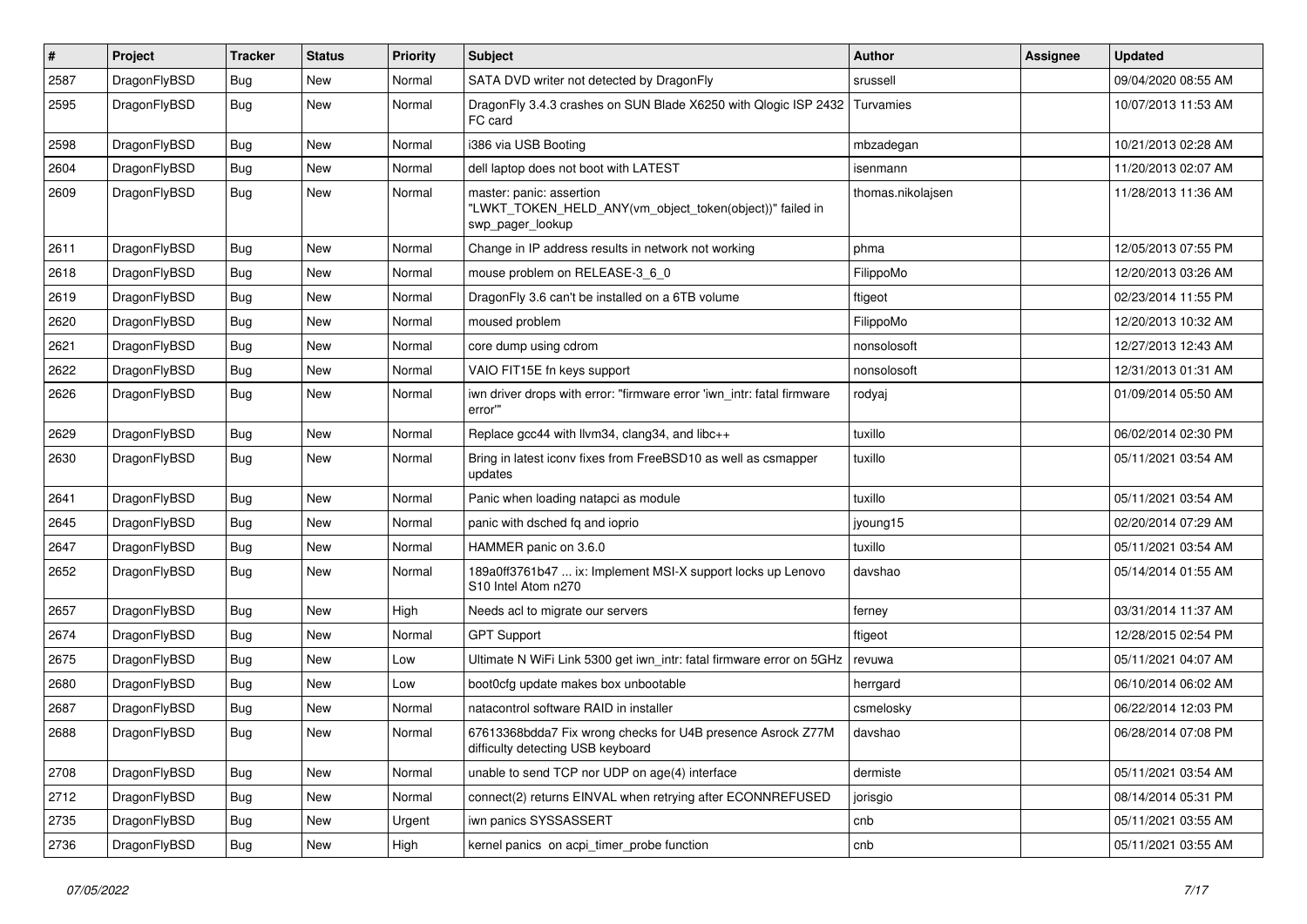| #    | Project      | <b>Tracker</b> | <b>Status</b> | <b>Priority</b> | Subject                                                                                                  | <b>Author</b>     | <b>Assignee</b> | <b>Updated</b>      |
|------|--------------|----------------|---------------|-----------------|----------------------------------------------------------------------------------------------------------|-------------------|-----------------|---------------------|
| 2587 | DragonFlyBSD | <b>Bug</b>     | New           | Normal          | SATA DVD writer not detected by DragonFly                                                                | srussell          |                 | 09/04/2020 08:55 AM |
| 2595 | DragonFlyBSD | <b>Bug</b>     | New           | Normal          | DragonFly 3.4.3 crashes on SUN Blade X6250 with Qlogic ISP 2432<br>FC card                               | Turvamies         |                 | 10/07/2013 11:53 AM |
| 2598 | DragonFlyBSD | <b>Bug</b>     | <b>New</b>    | Normal          | i386 via USB Booting                                                                                     | mbzadegan         |                 | 10/21/2013 02:28 AM |
| 2604 | DragonFlyBSD | <b>Bug</b>     | New           | Normal          | dell laptop does not boot with LATEST                                                                    | isenmann          |                 | 11/20/2013 02:07 AM |
| 2609 | DragonFlyBSD | <b>Bug</b>     | <b>New</b>    | Normal          | master: panic: assertion<br>"LWKT_TOKEN_HELD_ANY(vm_object_token(object))" failed in<br>swp_pager_lookup | thomas.nikolajsen |                 | 11/28/2013 11:36 AM |
| 2611 | DragonFlyBSD | <b>Bug</b>     | <b>New</b>    | Normal          | Change in IP address results in network not working                                                      | phma              |                 | 12/05/2013 07:55 PM |
| 2618 | DragonFlyBSD | <b>Bug</b>     | New           | Normal          | mouse problem on RELEASE-3_6_0                                                                           | FilippoMo         |                 | 12/20/2013 03:26 AM |
| 2619 | DragonFlyBSD | <b>Bug</b>     | New           | Normal          | DragonFly 3.6 can't be installed on a 6TB volume                                                         | ftigeot           |                 | 02/23/2014 11:55 PM |
| 2620 | DragonFlyBSD | <b>Bug</b>     | <b>New</b>    | Normal          | moused problem                                                                                           | FilippoMo         |                 | 12/20/2013 10:32 AM |
| 2621 | DragonFlyBSD | <b>Bug</b>     | <b>New</b>    | Normal          | core dump using cdrom                                                                                    | nonsolosoft       |                 | 12/27/2013 12:43 AM |
| 2622 | DragonFlyBSD | <b>Bug</b>     | <b>New</b>    | Normal          | VAIO FIT15E fn keys support                                                                              | nonsolosoft       |                 | 12/31/2013 01:31 AM |
| 2626 | DragonFlyBSD | <b>Bug</b>     | New           | Normal          | iwn driver drops with error: "firmware error 'iwn_intr: fatal firmware<br>error""                        | rodyaj            |                 | 01/09/2014 05:50 AM |
| 2629 | DragonFlyBSD | <b>Bug</b>     | <b>New</b>    | Normal          | Replace gcc44 with llvm34, clang34, and libc++                                                           | tuxillo           |                 | 06/02/2014 02:30 PM |
| 2630 | DragonFlyBSD | <b>Bug</b>     | New           | Normal          | Bring in latest iconv fixes from FreeBSD10 as well as csmapper<br>updates                                | tuxillo           |                 | 05/11/2021 03:54 AM |
| 2641 | DragonFlyBSD | <b>Bug</b>     | <b>New</b>    | Normal          | Panic when loading natapci as module                                                                     | tuxillo           |                 | 05/11/2021 03:54 AM |
| 2645 | DragonFlyBSD | <b>Bug</b>     | New           | Normal          | panic with dsched fq and ioprio                                                                          | jyoung15          |                 | 02/20/2014 07:29 AM |
| 2647 | DragonFlyBSD | <b>Bug</b>     | New           | Normal          | HAMMER panic on 3.6.0                                                                                    | tuxillo           |                 | 05/11/2021 03:54 AM |
| 2652 | DragonFlyBSD | <b>Bug</b>     | New           | Normal          | 189a0ff3761b47  ix: Implement MSI-X support locks up Lenovo<br>S10 Intel Atom n270                       | davshao           |                 | 05/14/2014 01:55 AM |
| 2657 | DragonFlyBSD | <b>Bug</b>     | <b>New</b>    | High            | Needs acl to migrate our servers                                                                         | ferney            |                 | 03/31/2014 11:37 AM |
| 2674 | DragonFlyBSD | <b>Bug</b>     | <b>New</b>    | Normal          | <b>GPT Support</b>                                                                                       | ftigeot           |                 | 12/28/2015 02:54 PM |
| 2675 | DragonFlyBSD | <b>Bug</b>     | New           | Low             | Ultimate N WiFi Link 5300 get iwn_intr: fatal firmware error on 5GHz                                     | revuwa            |                 | 05/11/2021 04:07 AM |
| 2680 | DragonFlyBSD | <b>Bug</b>     | <b>New</b>    | Low             | boot0cfg update makes box unbootable                                                                     | herrgard          |                 | 06/10/2014 06:02 AM |
| 2687 | DragonFlyBSD | <b>Bug</b>     | New           | Normal          | natacontrol software RAID in installer                                                                   | csmelosky         |                 | 06/22/2014 12:03 PM |
| 2688 | DragonFlyBSD | <b>Bug</b>     | New           | Normal          | 67613368bdda7 Fix wrong checks for U4B presence Asrock Z77M<br>difficulty detecting USB keyboard         | davshao           |                 | 06/28/2014 07:08 PM |
| 2708 | DragonFlyBSD | <b>Bug</b>     | <b>New</b>    | Normal          | unable to send TCP nor UDP on age(4) interface                                                           | dermiste          |                 | 05/11/2021 03:54 AM |
| 2712 | DragonFlyBSD | <b>Bug</b>     | New           | Normal          | connect(2) returns EINVAL when retrying after ECONNREFUSED                                               | jorisgio          |                 | 08/14/2014 05:31 PM |
| 2735 | DragonFlyBSD | Bug            | <b>New</b>    | Urgent          | iwn panics SYSSASSERT                                                                                    | cnb               |                 | 05/11/2021 03:55 AM |
| 2736 | DragonFlyBSD | <b>Bug</b>     | New           | High            | kernel panics on acpi_timer_probe function                                                               | cnb               |                 | 05/11/2021 03:55 AM |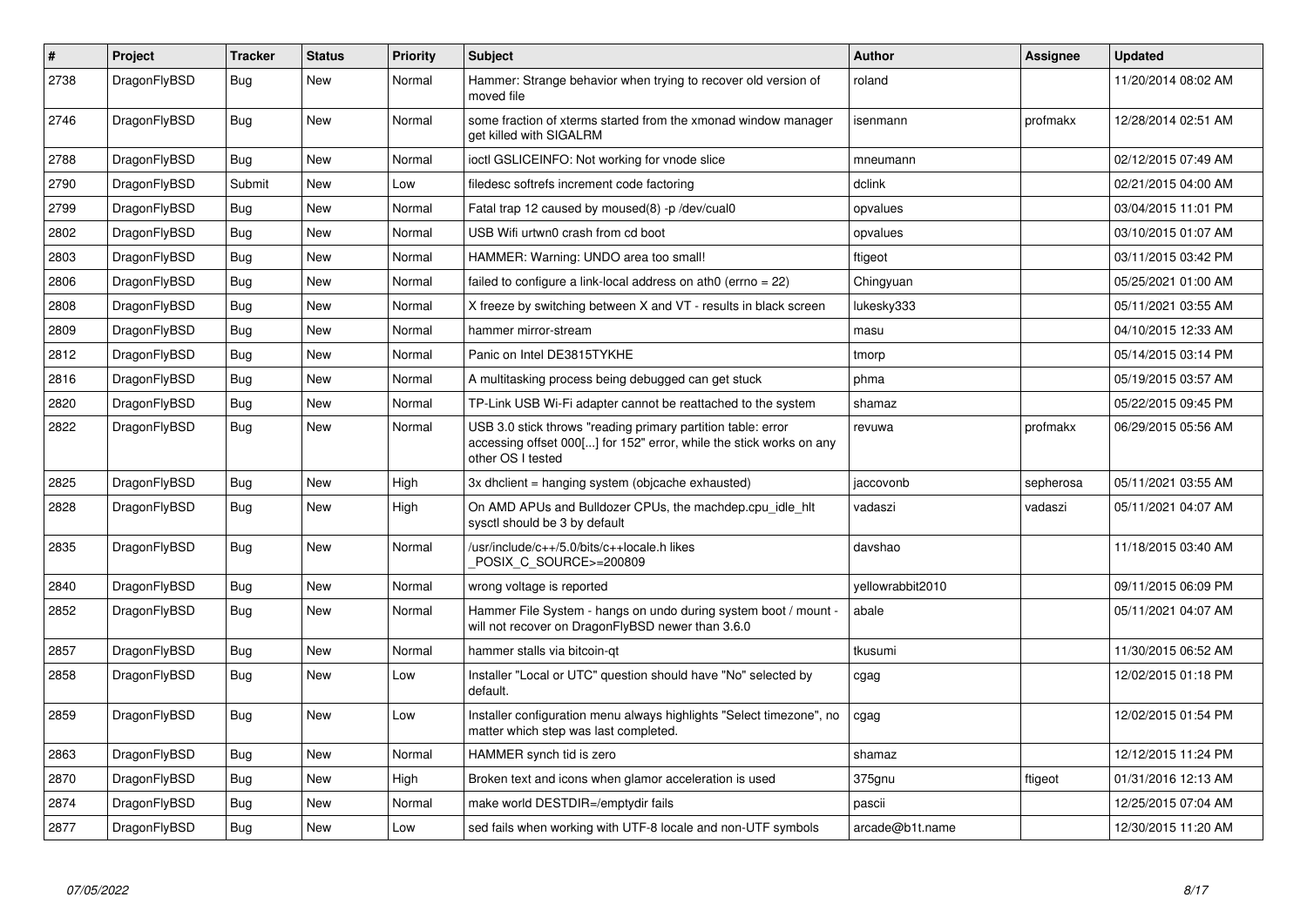| $\#$ | Project      | <b>Tracker</b> | <b>Status</b> | <b>Priority</b> | <b>Subject</b>                                                                                                                                           | <b>Author</b>    | Assignee  | <b>Updated</b>      |
|------|--------------|----------------|---------------|-----------------|----------------------------------------------------------------------------------------------------------------------------------------------------------|------------------|-----------|---------------------|
| 2738 | DragonFlyBSD | Bug            | <b>New</b>    | Normal          | Hammer: Strange behavior when trying to recover old version of<br>moved file                                                                             | roland           |           | 11/20/2014 08:02 AM |
| 2746 | DragonFlyBSD | Bug            | New           | Normal          | some fraction of xterms started from the xmonad window manager<br>get killed with SIGALRM                                                                | isenmann         | profmakx  | 12/28/2014 02:51 AM |
| 2788 | DragonFlyBSD | Bug            | New           | Normal          | ioctl GSLICEINFO: Not working for vnode slice                                                                                                            | mneumann         |           | 02/12/2015 07:49 AM |
| 2790 | DragonFlyBSD | Submit         | New           | Low             | filedesc softrefs increment code factoring                                                                                                               | dclink           |           | 02/21/2015 04:00 AM |
| 2799 | DragonFlyBSD | Bug            | <b>New</b>    | Normal          | Fatal trap 12 caused by moused(8) -p/dev/cual0                                                                                                           | opvalues         |           | 03/04/2015 11:01 PM |
| 2802 | DragonFlyBSD | <b>Bug</b>     | <b>New</b>    | Normal          | USB Wifi urtwn0 crash from cd boot                                                                                                                       | opvalues         |           | 03/10/2015 01:07 AM |
| 2803 | DragonFlyBSD | Bug            | <b>New</b>    | Normal          | HAMMER: Warning: UNDO area too small!                                                                                                                    | ftigeot          |           | 03/11/2015 03:42 PM |
| 2806 | DragonFlyBSD | <b>Bug</b>     | <b>New</b>    | Normal          | failed to configure a link-local address on ath $0$ (errno = 22)                                                                                         | Chingyuan        |           | 05/25/2021 01:00 AM |
| 2808 | DragonFlyBSD | <b>Bug</b>     | <b>New</b>    | Normal          | X freeze by switching between X and VT - results in black screen                                                                                         | lukesky333       |           | 05/11/2021 03:55 AM |
| 2809 | DragonFlyBSD | Bug            | <b>New</b>    | Normal          | hammer mirror-stream                                                                                                                                     | masu             |           | 04/10/2015 12:33 AM |
| 2812 | DragonFlyBSD | Bug            | <b>New</b>    | Normal          | Panic on Intel DE3815TYKHE                                                                                                                               | tmorp            |           | 05/14/2015 03:14 PM |
| 2816 | DragonFlyBSD | Bug            | New           | Normal          | A multitasking process being debugged can get stuck                                                                                                      | phma             |           | 05/19/2015 03:57 AM |
| 2820 | DragonFlyBSD | Bug            | New           | Normal          | TP-Link USB Wi-Fi adapter cannot be reattached to the system                                                                                             | shamaz           |           | 05/22/2015 09:45 PM |
| 2822 | DragonFlyBSD | <b>Bug</b>     | <b>New</b>    | Normal          | USB 3.0 stick throws "reading primary partition table: error<br>accessing offset 000[] for 152" error, while the stick works on any<br>other OS I tested | revuwa           | profmakx  | 06/29/2015 05:56 AM |
| 2825 | DragonFlyBSD | <b>Bug</b>     | New           | High            | 3x dhclient = hanging system (objcache exhausted)                                                                                                        | jaccovonb        | sepherosa | 05/11/2021 03:55 AM |
| 2828 | DragonFlyBSD | Bug            | New           | High            | On AMD APUs and Bulldozer CPUs, the machdep.cpu idle hit<br>sysctl should be 3 by default                                                                | vadaszi          | vadaszi   | 05/11/2021 04:07 AM |
| 2835 | DragonFlyBSD | Bug            | <b>New</b>    | Normal          | /usr/include/c++/5.0/bits/c++locale.h likes<br>POSIX C SOURCE>=200809                                                                                    | davshao          |           | 11/18/2015 03:40 AM |
| 2840 | DragonFlyBSD | <b>Bug</b>     | <b>New</b>    | Normal          | wrong voltage is reported                                                                                                                                | yellowrabbit2010 |           | 09/11/2015 06:09 PM |
| 2852 | DragonFlyBSD | Bug            | New           | Normal          | Hammer File System - hangs on undo during system boot / mount -<br>will not recover on DragonFlyBSD newer than 3.6.0                                     | abale            |           | 05/11/2021 04:07 AM |
| 2857 | DragonFlyBSD | <b>Bug</b>     | <b>New</b>    | Normal          | hammer stalls via bitcoin-qt                                                                                                                             | tkusumi          |           | 11/30/2015 06:52 AM |
| 2858 | DragonFlyBSD | Bug            | New           | Low             | Installer "Local or UTC" question should have "No" selected by<br>default.                                                                               | cgag             |           | 12/02/2015 01:18 PM |
| 2859 | DragonFlyBSD | <b>Bug</b>     | New           | Low             | Installer configuration menu always highlights "Select timezone", no<br>matter which step was last completed.                                            | cgag             |           | 12/02/2015 01:54 PM |
| 2863 | DragonFlyBSD | <b>Bug</b>     | <b>New</b>    | Normal          | HAMMER synch tid is zero                                                                                                                                 | shamaz           |           | 12/12/2015 11:24 PM |
| 2870 | DragonFlyBSD | Bug            | New           | High            | Broken text and icons when glamor acceleration is used                                                                                                   | 375gnu           | ftigeot   | 01/31/2016 12:13 AM |
| 2874 | DragonFlyBSD | Bug            | New           | Normal          | make world DESTDIR=/emptydir fails                                                                                                                       | pascii           |           | 12/25/2015 07:04 AM |
| 2877 | DragonFlyBSD | Bug            | <b>New</b>    | Low             | sed fails when working with UTF-8 locale and non-UTF symbols                                                                                             | arcade@b1t.name  |           | 12/30/2015 11:20 AM |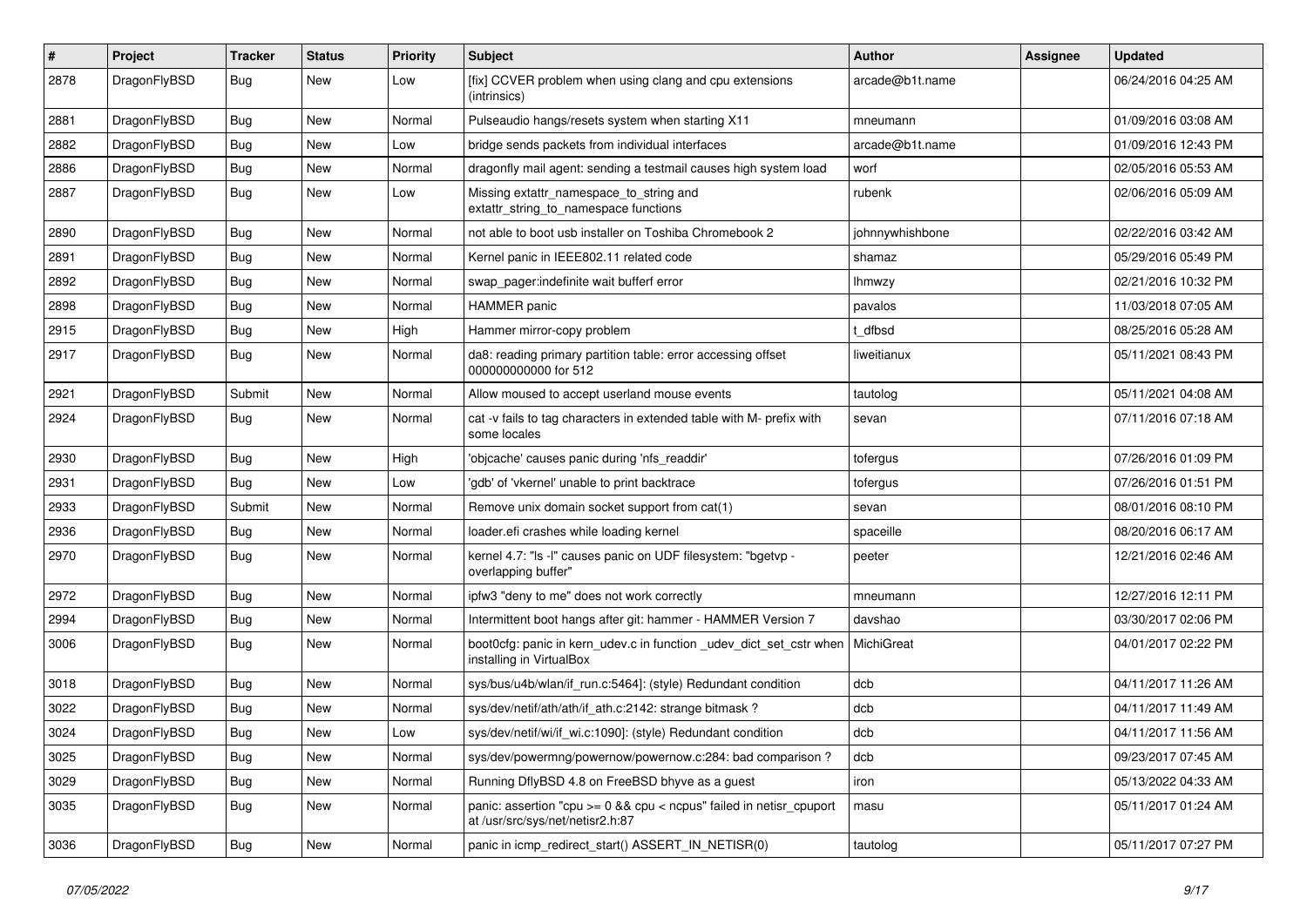| $\#$ | Project      | <b>Tracker</b> | <b>Status</b> | <b>Priority</b> | Subject                                                                                                 | <b>Author</b>   | Assignee | <b>Updated</b>      |
|------|--------------|----------------|---------------|-----------------|---------------------------------------------------------------------------------------------------------|-----------------|----------|---------------------|
| 2878 | DragonFlyBSD | <b>Bug</b>     | New           | Low             | [fix] CCVER problem when using clang and cpu extensions<br>(intrinsics)                                 | arcade@b1t.name |          | 06/24/2016 04:25 AM |
| 2881 | DragonFlyBSD | <b>Bug</b>     | New           | Normal          | Pulseaudio hangs/resets system when starting X11                                                        | mneumann        |          | 01/09/2016 03:08 AM |
| 2882 | DragonFlyBSD | <b>Bug</b>     | New           | Low             | bridge sends packets from individual interfaces                                                         | arcade@b1t.name |          | 01/09/2016 12:43 PM |
| 2886 | DragonFlyBSD | <b>Bug</b>     | New           | Normal          | dragonfly mail agent: sending a testmail causes high system load                                        | worf            |          | 02/05/2016 05:53 AM |
| 2887 | DragonFlyBSD | <b>Bug</b>     | New           | Low             | Missing extattr_namespace_to_string and<br>extattr_string_to_namespace functions                        | rubenk          |          | 02/06/2016 05:09 AM |
| 2890 | DragonFlyBSD | <b>Bug</b>     | New           | Normal          | not able to boot usb installer on Toshiba Chromebook 2                                                  | johnnywhishbone |          | 02/22/2016 03:42 AM |
| 2891 | DragonFlyBSD | <b>Bug</b>     | New           | Normal          | Kernel panic in IEEE802.11 related code                                                                 | shamaz          |          | 05/29/2016 05:49 PM |
| 2892 | DragonFlyBSD | Bug            | <b>New</b>    | Normal          | swap_pager:indefinite wait bufferf error                                                                | <b>Ihmwzy</b>   |          | 02/21/2016 10:32 PM |
| 2898 | DragonFlyBSD | <b>Bug</b>     | New           | Normal          | <b>HAMMER</b> panic                                                                                     | pavalos         |          | 11/03/2018 07:05 AM |
| 2915 | DragonFlyBSD | <b>Bug</b>     | New           | High            | Hammer mirror-copy problem                                                                              | t dfbsd         |          | 08/25/2016 05:28 AM |
| 2917 | DragonFlyBSD | Bug            | New           | Normal          | da8: reading primary partition table: error accessing offset<br>000000000000 for 512                    | liweitianux     |          | 05/11/2021 08:43 PM |
| 2921 | DragonFlyBSD | Submit         | New           | Normal          | Allow moused to accept userland mouse events                                                            | tautolog        |          | 05/11/2021 04:08 AM |
| 2924 | DragonFlyBSD | <b>Bug</b>     | <b>New</b>    | Normal          | cat -v fails to tag characters in extended table with M- prefix with<br>some locales                    | sevan           |          | 07/11/2016 07:18 AM |
| 2930 | DragonFlyBSD | Bug            | <b>New</b>    | High            | 'objcache' causes panic during 'nfs_readdir'                                                            | tofergus        |          | 07/26/2016 01:09 PM |
| 2931 | DragonFlyBSD | <b>Bug</b>     | New           | Low             | 'gdb' of 'vkernel' unable to print backtrace                                                            | tofergus        |          | 07/26/2016 01:51 PM |
| 2933 | DragonFlyBSD | Submit         | New           | Normal          | Remove unix domain socket support from cat(1)                                                           | sevan           |          | 08/01/2016 08:10 PM |
| 2936 | DragonFlyBSD | <b>Bug</b>     | New           | Normal          | loader.efi crashes while loading kernel                                                                 | spaceille       |          | 08/20/2016 06:17 AM |
| 2970 | DragonFlyBSD | <b>Bug</b>     | <b>New</b>    | Normal          | kernel 4.7: "Is -l" causes panic on UDF filesystem: "bgetvp -<br>overlapping buffer"                    | peeter          |          | 12/21/2016 02:46 AM |
| 2972 | DragonFlyBSD | <b>Bug</b>     | New           | Normal          | ipfw3 "deny to me" does not work correctly                                                              | mneumann        |          | 12/27/2016 12:11 PM |
| 2994 | DragonFlyBSD | <b>Bug</b>     | New           | Normal          | Intermittent boot hangs after git: hammer - HAMMER Version 7                                            | davshao         |          | 03/30/2017 02:06 PM |
| 3006 | DragonFlyBSD | Bug            | New           | Normal          | boot0cfg: panic in kern_udev.c in function _udev_dict_set_cstr when<br>installing in VirtualBox         | MichiGreat      |          | 04/01/2017 02:22 PM |
| 3018 | DragonFlyBSD | Bug            | New           | Normal          | sys/bus/u4b/wlan/if_run.c:5464]: (style) Redundant condition                                            | dcb             |          | 04/11/2017 11:26 AM |
| 3022 | DragonFlyBSD | Bug            | New           | Normal          | sys/dev/netif/ath/ath/if_ath.c:2142: strange bitmask?                                                   | dcb             |          | 04/11/2017 11:49 AM |
| 3024 | DragonFlyBSD | Bug            | <b>New</b>    | Low             | sys/dev/netif/wi/if_wi.c:1090]: (style) Redundant condition                                             | dcb             |          | 04/11/2017 11:56 AM |
| 3025 | DragonFlyBSD | <b>Bug</b>     | New           | Normal          | sys/dev/powermng/powernow/powernow.c:284: bad comparison?                                               | dcb             |          | 09/23/2017 07:45 AM |
| 3029 | DragonFlyBSD | <b>Bug</b>     | New           | Normal          | Running DflyBSD 4.8 on FreeBSD bhyve as a guest                                                         | iron            |          | 05/13/2022 04:33 AM |
| 3035 | DragonFlyBSD | <b>Bug</b>     | New           | Normal          | panic: assertion "cpu >= 0 && cpu < ncpus" failed in netisr_cpuport<br>at /usr/src/sys/net/netisr2.h:87 | masu            |          | 05/11/2017 01:24 AM |
| 3036 | DragonFlyBSD | <b>Bug</b>     | New           | Normal          | panic in icmp_redirect_start() ASSERT_IN_NETISR(0)                                                      | tautolog        |          | 05/11/2017 07:27 PM |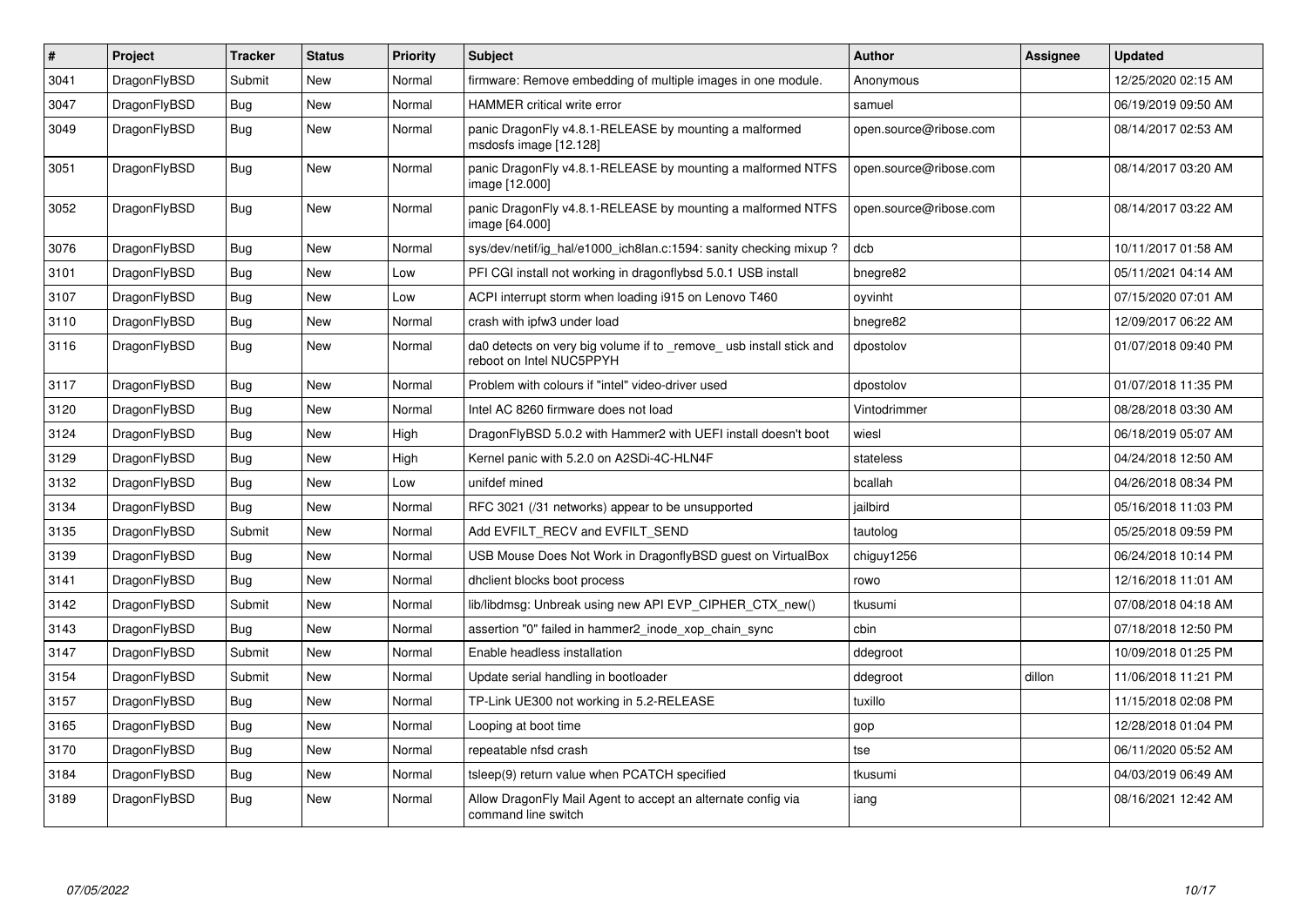| $\pmb{\#}$ | Project      | <b>Tracker</b> | <b>Status</b> | Priority | <b>Subject</b>                                                                                  | <b>Author</b>          | Assignee | <b>Updated</b>      |
|------------|--------------|----------------|---------------|----------|-------------------------------------------------------------------------------------------------|------------------------|----------|---------------------|
| 3041       | DragonFlyBSD | Submit         | <b>New</b>    | Normal   | firmware: Remove embedding of multiple images in one module.                                    | Anonymous              |          | 12/25/2020 02:15 AM |
| 3047       | DragonFlyBSD | Bug            | <b>New</b>    | Normal   | <b>HAMMER</b> critical write error                                                              | samuel                 |          | 06/19/2019 09:50 AM |
| 3049       | DragonFlyBSD | <b>Bug</b>     | <b>New</b>    | Normal   | panic DragonFly v4.8.1-RELEASE by mounting a malformed<br>msdosfs image [12.128]                | open.source@ribose.com |          | 08/14/2017 02:53 AM |
| 3051       | DragonFlyBSD | Bug            | <b>New</b>    | Normal   | panic DragonFly v4.8.1-RELEASE by mounting a malformed NTFS<br>image [12.000]                   | open.source@ribose.com |          | 08/14/2017 03:20 AM |
| 3052       | DragonFlyBSD | Bug            | New           | Normal   | panic DragonFly v4.8.1-RELEASE by mounting a malformed NTFS<br>image [64.000]                   | open.source@ribose.com |          | 08/14/2017 03:22 AM |
| 3076       | DragonFlyBSD | <b>Bug</b>     | <b>New</b>    | Normal   | sys/dev/netif/ig hal/e1000 ich8lan.c:1594: sanity checking mixup?                               | dcb                    |          | 10/11/2017 01:58 AM |
| 3101       | DragonFlyBSD | <b>Bug</b>     | <b>New</b>    | Low      | PFI CGI install not working in dragonflybsd 5.0.1 USB install                                   | bnegre82               |          | 05/11/2021 04:14 AM |
| 3107       | DragonFlyBSD | Bug            | <b>New</b>    | Low      | ACPI interrupt storm when loading i915 on Lenovo T460                                           | oyvinht                |          | 07/15/2020 07:01 AM |
| 3110       | DragonFlyBSD | Bug            | <b>New</b>    | Normal   | crash with ipfw3 under load                                                                     | bnegre82               |          | 12/09/2017 06:22 AM |
| 3116       | DragonFlyBSD | Bug            | <b>New</b>    | Normal   | da0 detects on very big volume if to _remove_ usb install stick and<br>reboot on Intel NUC5PPYH | dpostolov              |          | 01/07/2018 09:40 PM |
| 3117       | DragonFlyBSD | <b>Bug</b>     | <b>New</b>    | Normal   | Problem with colours if "intel" video-driver used                                               | dpostolov              |          | 01/07/2018 11:35 PM |
| 3120       | DragonFlyBSD | Bug            | <b>New</b>    | Normal   | Intel AC 8260 firmware does not load                                                            | Vintodrimmer           |          | 08/28/2018 03:30 AM |
| 3124       | DragonFlyBSD | Bug            | New           | High     | DragonFlyBSD 5.0.2 with Hammer2 with UEFI install doesn't boot                                  | wiesl                  |          | 06/18/2019 05:07 AM |
| 3129       | DragonFlyBSD | <b>Bug</b>     | <b>New</b>    | High     | Kernel panic with 5.2.0 on A2SDi-4C-HLN4F                                                       | stateless              |          | 04/24/2018 12:50 AM |
| 3132       | DragonFlyBSD | Bug            | <b>New</b>    | Low      | unifdef mined                                                                                   | bcallah                |          | 04/26/2018 08:34 PM |
| 3134       | DragonFlyBSD | Bug            | <b>New</b>    | Normal   | RFC 3021 (/31 networks) appear to be unsupported                                                | jailbird               |          | 05/16/2018 11:03 PM |
| 3135       | DragonFlyBSD | Submit         | <b>New</b>    | Normal   | Add EVFILT RECV and EVFILT SEND                                                                 | tautolog               |          | 05/25/2018 09:59 PM |
| 3139       | DragonFlyBSD | <b>Bug</b>     | <b>New</b>    | Normal   | USB Mouse Does Not Work in DragonflyBSD guest on VirtualBox                                     | chiguy1256             |          | 06/24/2018 10:14 PM |
| 3141       | DragonFlyBSD | Bug            | <b>New</b>    | Normal   | dhclient blocks boot process                                                                    | rowo                   |          | 12/16/2018 11:01 AM |
| 3142       | DragonFlyBSD | Submit         | <b>New</b>    | Normal   | lib/libdmsg: Unbreak using new API EVP CIPHER CTX new()                                         | tkusumi                |          | 07/08/2018 04:18 AM |
| 3143       | DragonFlyBSD | Bug            | <b>New</b>    | Normal   | assertion "0" failed in hammer2_inode_xop_chain_sync                                            | cbin                   |          | 07/18/2018 12:50 PM |
| 3147       | DragonFlyBSD | Submit         | <b>New</b>    | Normal   | Enable headless installation                                                                    | ddegroot               |          | 10/09/2018 01:25 PM |
| 3154       | DragonFlyBSD | Submit         | <b>New</b>    | Normal   | Update serial handling in bootloader                                                            | ddegroot               | dillon   | 11/06/2018 11:21 PM |
| 3157       | DragonFlyBSD | Bug            | <b>New</b>    | Normal   | TP-Link UE300 not working in 5.2-RELEASE                                                        | tuxillo                |          | 11/15/2018 02:08 PM |
| 3165       | DragonFlyBSD | <b>Bug</b>     | New           | Normal   | Looping at boot time                                                                            | gop                    |          | 12/28/2018 01:04 PM |
| 3170       | DragonFlyBSD | Bug            | <b>New</b>    | Normal   | repeatable nfsd crash                                                                           | tse                    |          | 06/11/2020 05:52 AM |
| 3184       | DragonFlyBSD | Bug            | New           | Normal   | tsleep(9) return value when PCATCH specified                                                    | tkusumi                |          | 04/03/2019 06:49 AM |
| 3189       | DragonFlyBSD | Bug            | New           | Normal   | Allow DragonFly Mail Agent to accept an alternate config via<br>command line switch             | iang                   |          | 08/16/2021 12:42 AM |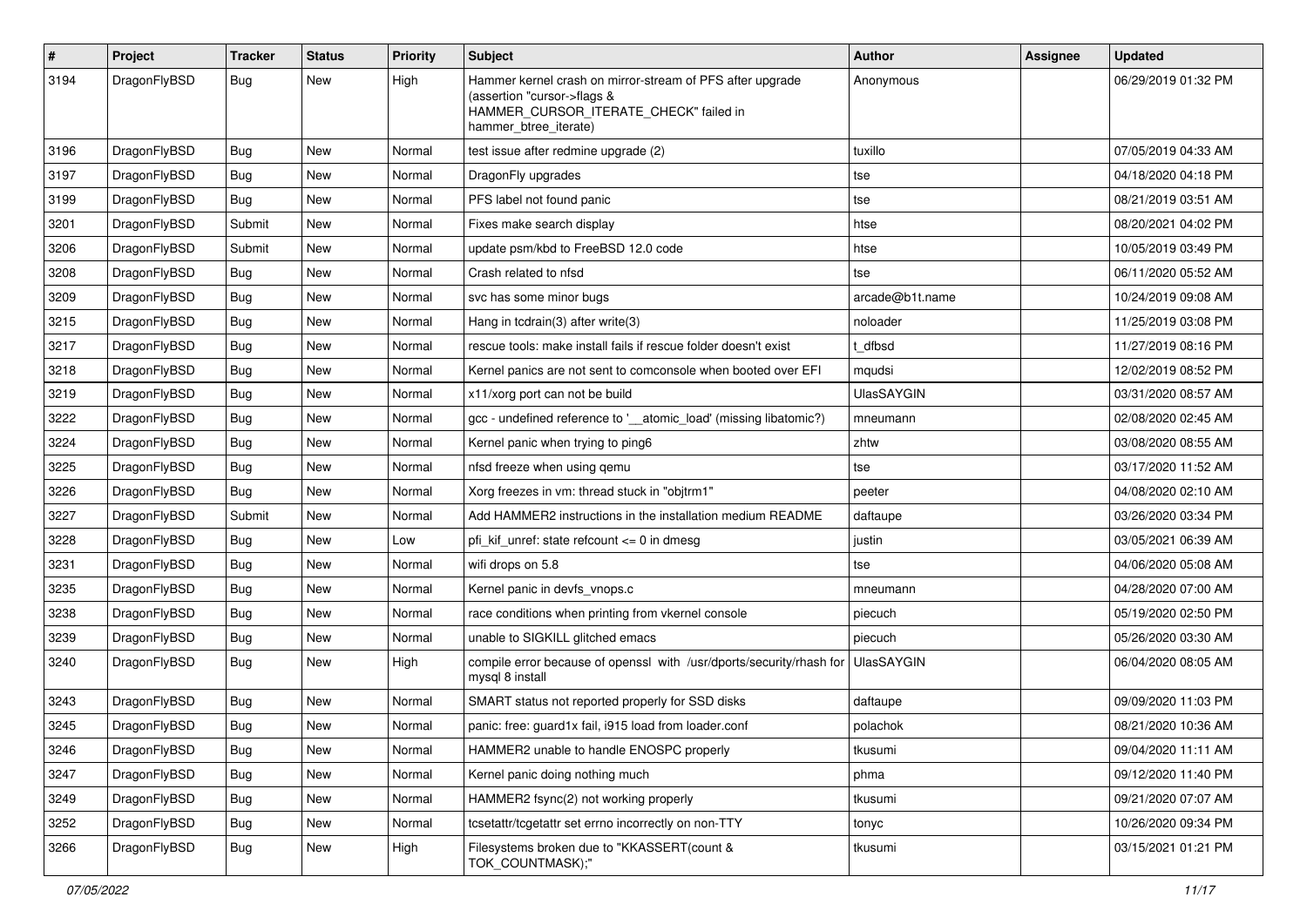| $\sharp$ | Project      | <b>Tracker</b> | <b>Status</b> | <b>Priority</b> | Subject                                                                                                                                                     | <b>Author</b>     | Assignee | <b>Updated</b>      |
|----------|--------------|----------------|---------------|-----------------|-------------------------------------------------------------------------------------------------------------------------------------------------------------|-------------------|----------|---------------------|
| 3194     | DragonFlyBSD | Bug            | <b>New</b>    | High            | Hammer kernel crash on mirror-stream of PFS after upgrade<br>(assertion "cursor->flags &<br>HAMMER_CURSOR_ITERATE_CHECK" failed in<br>hammer_btree_iterate) | Anonymous         |          | 06/29/2019 01:32 PM |
| 3196     | DragonFlyBSD | Bug            | <b>New</b>    | Normal          | test issue after redmine upgrade (2)                                                                                                                        | tuxillo           |          | 07/05/2019 04:33 AM |
| 3197     | DragonFlyBSD | <b>Bug</b>     | <b>New</b>    | Normal          | DragonFly upgrades                                                                                                                                          | tse               |          | 04/18/2020 04:18 PM |
| 3199     | DragonFlyBSD | Bug            | New           | Normal          | PFS label not found panic                                                                                                                                   | tse               |          | 08/21/2019 03:51 AM |
| 3201     | DragonFlyBSD | Submit         | <b>New</b>    | Normal          | Fixes make search display                                                                                                                                   | htse              |          | 08/20/2021 04:02 PM |
| 3206     | DragonFlyBSD | Submit         | New           | Normal          | update psm/kbd to FreeBSD 12.0 code                                                                                                                         | htse              |          | 10/05/2019 03:49 PM |
| 3208     | DragonFlyBSD | Bug            | <b>New</b>    | Normal          | Crash related to nfsd                                                                                                                                       | tse               |          | 06/11/2020 05:52 AM |
| 3209     | DragonFlyBSD | Bug            | <b>New</b>    | Normal          | svc has some minor bugs                                                                                                                                     | arcade@b1t.name   |          | 10/24/2019 09:08 AM |
| 3215     | DragonFlyBSD | <b>Bug</b>     | <b>New</b>    | Normal          | Hang in tcdrain(3) after write(3)                                                                                                                           | noloader          |          | 11/25/2019 03:08 PM |
| 3217     | DragonFlyBSD | Bug            | <b>New</b>    | Normal          | rescue tools: make install fails if rescue folder doesn't exist                                                                                             | t_dfbsd           |          | 11/27/2019 08:16 PM |
| 3218     | DragonFlyBSD | <b>Bug</b>     | New           | Normal          | Kernel panics are not sent to comconsole when booted over EFI                                                                                               | mqudsi            |          | 12/02/2019 08:52 PM |
| 3219     | DragonFlyBSD | Bug            | <b>New</b>    | Normal          | x11/xorg port can not be build                                                                                                                              | <b>UlasSAYGIN</b> |          | 03/31/2020 08:57 AM |
| 3222     | DragonFlyBSD | <b>Bug</b>     | New           | Normal          | gcc - undefined reference to '_atomic_load' (missing libatomic?)                                                                                            | mneumann          |          | 02/08/2020 02:45 AM |
| 3224     | DragonFlyBSD | <b>Bug</b>     | <b>New</b>    | Normal          | Kernel panic when trying to ping6                                                                                                                           | zhtw              |          | 03/08/2020 08:55 AM |
| 3225     | DragonFlyBSD | Bug            | <b>New</b>    | Normal          | nfsd freeze when using qemu                                                                                                                                 | tse               |          | 03/17/2020 11:52 AM |
| 3226     | DragonFlyBSD | <b>Bug</b>     | <b>New</b>    | Normal          | Xorg freezes in vm: thread stuck in "objtrm1"                                                                                                               | peeter            |          | 04/08/2020 02:10 AM |
| 3227     | DragonFlyBSD | Submit         | <b>New</b>    | Normal          | Add HAMMER2 instructions in the installation medium README                                                                                                  | daftaupe          |          | 03/26/2020 03:34 PM |
| 3228     | DragonFlyBSD | Bug            | <b>New</b>    | Low             | pfi_kif_unref: state refcount <= 0 in dmesg                                                                                                                 | justin            |          | 03/05/2021 06:39 AM |
| 3231     | DragonFlyBSD | Bug            | New           | Normal          | wifi drops on 5.8                                                                                                                                           | tse               |          | 04/06/2020 05:08 AM |
| 3235     | DragonFlyBSD | Bug            | <b>New</b>    | Normal          | Kernel panic in devfs_vnops.c                                                                                                                               | mneumann          |          | 04/28/2020 07:00 AM |
| 3238     | DragonFlyBSD | <b>Bug</b>     | <b>New</b>    | Normal          | race conditions when printing from vkernel console                                                                                                          | piecuch           |          | 05/19/2020 02:50 PM |
| 3239     | DragonFlyBSD | <b>Bug</b>     | New           | Normal          | unable to SIGKILL glitched emacs                                                                                                                            | piecuch           |          | 05/26/2020 03:30 AM |
| 3240     | DragonFlyBSD | Bug            | <b>New</b>    | High            | compile error because of openssl with /usr/dports/security/rhash for<br>mysql 8 install                                                                     | <b>UlasSAYGIN</b> |          | 06/04/2020 08:05 AM |
| 3243     | DragonFlyBSD | Bug            | <b>New</b>    | Normal          | SMART status not reported properly for SSD disks                                                                                                            | daftaupe          |          | 09/09/2020 11:03 PM |
| 3245     | DragonFlyBSD | <b>Bug</b>     | <b>New</b>    | Normal          | panic: free: guard1x fail, i915 load from loader.conf                                                                                                       | polachok          |          | 08/21/2020 10:36 AM |
| 3246     | DragonFlyBSD | <b>Bug</b>     | New           | Normal          | HAMMER2 unable to handle ENOSPC properly                                                                                                                    | tkusumi           |          | 09/04/2020 11:11 AM |
| 3247     | DragonFlyBSD | <b>Bug</b>     | New           | Normal          | Kernel panic doing nothing much                                                                                                                             | phma              |          | 09/12/2020 11:40 PM |
| 3249     | DragonFlyBSD | <b>Bug</b>     | New           | Normal          | HAMMER2 fsync(2) not working properly                                                                                                                       | tkusumi           |          | 09/21/2020 07:07 AM |
| 3252     | DragonFlyBSD | <b>Bug</b>     | New           | Normal          | tcsetattr/tcgetattr set errno incorrectly on non-TTY                                                                                                        | tonyc             |          | 10/26/2020 09:34 PM |
| 3266     | DragonFlyBSD | <b>Bug</b>     | New           | High            | Filesystems broken due to "KKASSERT(count &<br>TOK_COUNTMASK);"                                                                                             | tkusumi           |          | 03/15/2021 01:21 PM |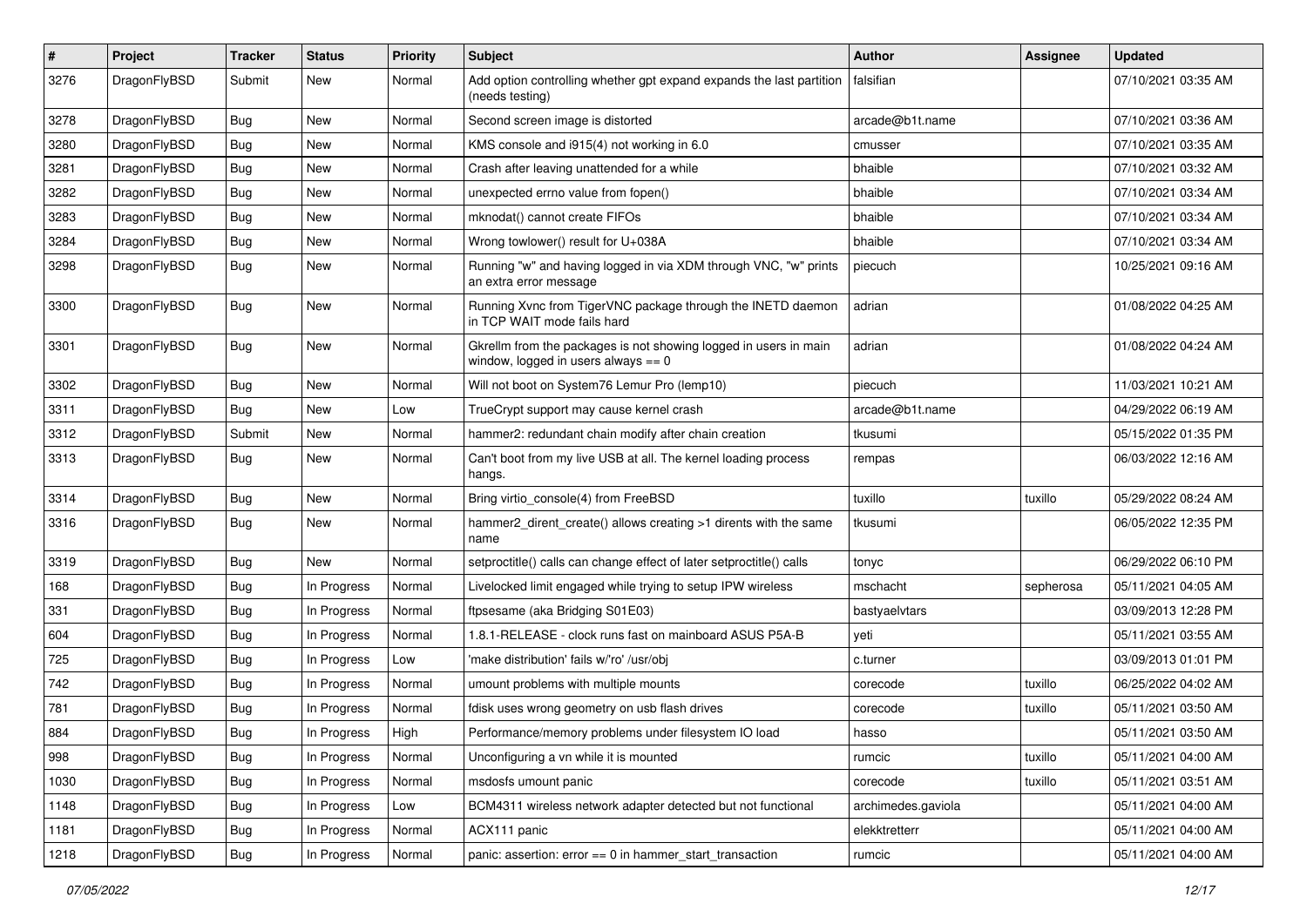| $\sharp$ | Project      | <b>Tracker</b> | <b>Status</b> | <b>Priority</b> | Subject                                                                                                   | Author             | Assignee  | <b>Updated</b>      |
|----------|--------------|----------------|---------------|-----------------|-----------------------------------------------------------------------------------------------------------|--------------------|-----------|---------------------|
| 3276     | DragonFlyBSD | Submit         | <b>New</b>    | Normal          | Add option controlling whether gpt expand expands the last partition<br>(needs testing)                   | falsifian          |           | 07/10/2021 03:35 AM |
| 3278     | DragonFlyBSD | Bug            | <b>New</b>    | Normal          | Second screen image is distorted                                                                          | arcade@b1t.name    |           | 07/10/2021 03:36 AM |
| 3280     | DragonFlyBSD | <b>Bug</b>     | New           | Normal          | KMS console and i915(4) not working in 6.0                                                                | cmusser            |           | 07/10/2021 03:35 AM |
| 3281     | DragonFlyBSD | Bug            | <b>New</b>    | Normal          | Crash after leaving unattended for a while                                                                | bhaible            |           | 07/10/2021 03:32 AM |
| 3282     | DragonFlyBSD | <b>Bug</b>     | <b>New</b>    | Normal          | unexpected errno value from fopen()                                                                       | bhaible            |           | 07/10/2021 03:34 AM |
| 3283     | DragonFlyBSD | <b>Bug</b>     | <b>New</b>    | Normal          | mknodat() cannot create FIFOs                                                                             | bhaible            |           | 07/10/2021 03:34 AM |
| 3284     | DragonFlyBSD | <b>Bug</b>     | New           | Normal          | Wrong towlower() result for U+038A                                                                        | bhaible            |           | 07/10/2021 03:34 AM |
| 3298     | DragonFlyBSD | Bug            | New           | Normal          | Running "w" and having logged in via XDM through VNC, "w" prints<br>an extra error message                | piecuch            |           | 10/25/2021 09:16 AM |
| 3300     | DragonFlyBSD | Bug            | <b>New</b>    | Normal          | Running Xvnc from TigerVNC package through the INETD daemon<br>in TCP WAIT mode fails hard                | adrian             |           | 01/08/2022 04:25 AM |
| 3301     | DragonFlyBSD | <b>Bug</b>     | <b>New</b>    | Normal          | Gkrellm from the packages is not showing logged in users in main<br>window, logged in users always $== 0$ | adrian             |           | 01/08/2022 04:24 AM |
| 3302     | DragonFlyBSD | Bug            | <b>New</b>    | Normal          | Will not boot on System76 Lemur Pro (lemp10)                                                              | piecuch            |           | 11/03/2021 10:21 AM |
| 3311     | DragonFlyBSD | <b>Bug</b>     | New           | Low             | TrueCrypt support may cause kernel crash                                                                  | arcade@b1t.name    |           | 04/29/2022 06:19 AM |
| 3312     | DragonFlyBSD | Submit         | New           | Normal          | hammer2: redundant chain modify after chain creation                                                      | tkusumi            |           | 05/15/2022 01:35 PM |
| 3313     | DragonFlyBSD | <b>Bug</b>     | New           | Normal          | Can't boot from my live USB at all. The kernel loading process<br>hangs.                                  | rempas             |           | 06/03/2022 12:16 AM |
| 3314     | DragonFlyBSD | <b>Bug</b>     | <b>New</b>    | Normal          | Bring virtio_console(4) from FreeBSD                                                                      | tuxillo            | tuxillo   | 05/29/2022 08:24 AM |
| 3316     | DragonFlyBSD | <b>Bug</b>     | <b>New</b>    | Normal          | hammer2_dirent_create() allows creating >1 dirents with the same<br>name                                  | tkusumi            |           | 06/05/2022 12:35 PM |
| 3319     | DragonFlyBSD | <b>Bug</b>     | New           | Normal          | setproctitle() calls can change effect of later setproctitle() calls                                      | tonyc              |           | 06/29/2022 06:10 PM |
| 168      | DragonFlyBSD | <b>Bug</b>     | In Progress   | Normal          | Livelocked limit engaged while trying to setup IPW wireless                                               | mschacht           | sepherosa | 05/11/2021 04:05 AM |
| 331      | DragonFlyBSD | <b>Bug</b>     | In Progress   | Normal          | ftpsesame (aka Bridging S01E03)                                                                           | bastyaelvtars      |           | 03/09/2013 12:28 PM |
| 604      | DragonFlyBSD | <b>Bug</b>     | In Progress   | Normal          | 1.8.1-RELEASE - clock runs fast on mainboard ASUS P5A-B                                                   | yeti               |           | 05/11/2021 03:55 AM |
| 725      | DragonFlyBSD | <b>Bug</b>     | In Progress   | Low             | 'make distribution' fails w/'ro' /usr/obj                                                                 | c.turner           |           | 03/09/2013 01:01 PM |
| 742      | DragonFlyBSD | Bug            | In Progress   | Normal          | umount problems with multiple mounts                                                                      | corecode           | tuxillo   | 06/25/2022 04:02 AM |
| 781      | DragonFlyBSD | <b>Bug</b>     | In Progress   | Normal          | fdisk uses wrong geometry on usb flash drives                                                             | corecode           | tuxillo   | 05/11/2021 03:50 AM |
| 884      | DragonFlyBSD | Bug            | In Progress   | High            | Performance/memory problems under filesystem IO load                                                      | hasso              |           | 05/11/2021 03:50 AM |
| 998      | DragonFlyBSD | Bug            | In Progress   | Normal          | Unconfiguring a vn while it is mounted                                                                    | rumcic             | tuxillo   | 05/11/2021 04:00 AM |
| 1030     | DragonFlyBSD | Bug            | In Progress   | Normal          | msdosfs umount panic                                                                                      | corecode           | tuxillo   | 05/11/2021 03:51 AM |
| 1148     | DragonFlyBSD | <b>Bug</b>     | In Progress   | Low             | BCM4311 wireless network adapter detected but not functional                                              | archimedes.gaviola |           | 05/11/2021 04:00 AM |
| 1181     | DragonFlyBSD | Bug            | In Progress   | Normal          | ACX111 panic                                                                                              | elekktretterr      |           | 05/11/2021 04:00 AM |
| 1218     | DragonFlyBSD | <b>Bug</b>     | In Progress   | Normal          | panic: assertion: $error == 0$ in hammer start transaction                                                | rumcic             |           | 05/11/2021 04:00 AM |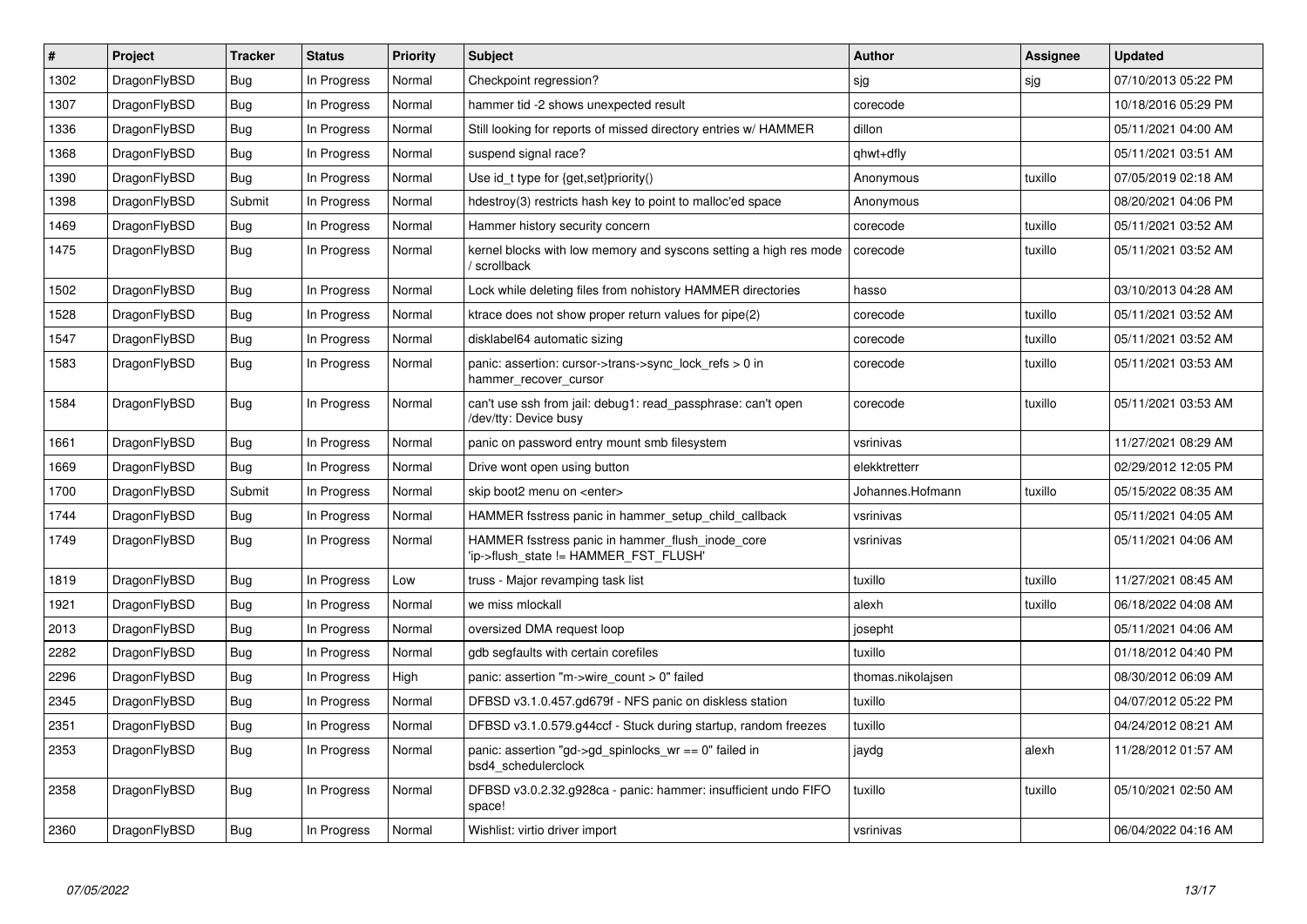| #    | Project      | <b>Tracker</b> | <b>Status</b> | <b>Priority</b> | <b>Subject</b>                                                                            | <b>Author</b>     | <b>Assignee</b> | <b>Updated</b>      |
|------|--------------|----------------|---------------|-----------------|-------------------------------------------------------------------------------------------|-------------------|-----------------|---------------------|
| 1302 | DragonFlyBSD | <b>Bug</b>     | In Progress   | Normal          | Checkpoint regression?                                                                    | sjg               | sjg             | 07/10/2013 05:22 PM |
| 1307 | DragonFlyBSD | Bug            | In Progress   | Normal          | hammer tid -2 shows unexpected result                                                     | corecode          |                 | 10/18/2016 05:29 PM |
| 1336 | DragonFlyBSD | <b>Bug</b>     | In Progress   | Normal          | Still looking for reports of missed directory entries w/ HAMMER                           | dillon            |                 | 05/11/2021 04:00 AM |
| 1368 | DragonFlyBSD | Bug            | In Progress   | Normal          | suspend signal race?                                                                      | qhwt+dfly         |                 | 05/11/2021 03:51 AM |
| 1390 | DragonFlyBSD | Bug            | In Progress   | Normal          | Use id_t type for {get,set}priority()                                                     | Anonymous         | tuxillo         | 07/05/2019 02:18 AM |
| 1398 | DragonFlyBSD | Submit         | In Progress   | Normal          | hdestroy(3) restricts hash key to point to malloc'ed space                                | Anonymous         |                 | 08/20/2021 04:06 PM |
| 1469 | DragonFlyBSD | <b>Bug</b>     | In Progress   | Normal          | Hammer history security concern                                                           | corecode          | tuxillo         | 05/11/2021 03:52 AM |
| 1475 | DragonFlyBSD | Bug            | In Progress   | Normal          | kernel blocks with low memory and syscons setting a high res mode<br>/ scrollback         | corecode          | tuxillo         | 05/11/2021 03:52 AM |
| 1502 | DragonFlyBSD | Bug            | In Progress   | Normal          | Lock while deleting files from nohistory HAMMER directories                               | hasso             |                 | 03/10/2013 04:28 AM |
| 1528 | DragonFlyBSD | Bug            | In Progress   | Normal          | ktrace does not show proper return values for pipe(2)                                     | corecode          | tuxillo         | 05/11/2021 03:52 AM |
| 1547 | DragonFlyBSD | Bug            | In Progress   | Normal          | disklabel64 automatic sizing                                                              | corecode          | tuxillo         | 05/11/2021 03:52 AM |
| 1583 | DragonFlyBSD | Bug            | In Progress   | Normal          | panic: assertion: cursor->trans->sync lock refs $> 0$ in<br>hammer_recover_cursor         | corecode          | tuxillo         | 05/11/2021 03:53 AM |
| 1584 | DragonFlyBSD | Bug            | In Progress   | Normal          | can't use ssh from jail: debug1: read passphrase: can't open<br>/dev/tty: Device busy     | corecode          | tuxillo         | 05/11/2021 03:53 AM |
| 1661 | DragonFlyBSD | <b>Bug</b>     | In Progress   | Normal          | panic on password entry mount smb filesystem                                              | vsrinivas         |                 | 11/27/2021 08:29 AM |
| 1669 | DragonFlyBSD | <b>Bug</b>     | In Progress   | Normal          | Drive wont open using button                                                              | elekktretterr     |                 | 02/29/2012 12:05 PM |
| 1700 | DragonFlyBSD | Submit         | In Progress   | Normal          | skip boot2 menu on <enter></enter>                                                        | Johannes.Hofmann  | tuxillo         | 05/15/2022 08:35 AM |
| 1744 | DragonFlyBSD | <b>Bug</b>     | In Progress   | Normal          | HAMMER fsstress panic in hammer setup child callback                                      | vsrinivas         |                 | 05/11/2021 04:05 AM |
| 1749 | DragonFlyBSD | Bug            | In Progress   | Normal          | HAMMER fsstress panic in hammer flush inode core<br>'ip->flush_state != HAMMER_FST_FLUSH' | vsrinivas         |                 | 05/11/2021 04:06 AM |
| 1819 | DragonFlyBSD | Bug            | In Progress   | Low             | truss - Major revamping task list                                                         | tuxillo           | tuxillo         | 11/27/2021 08:45 AM |
| 1921 | DragonFlyBSD | <b>Bug</b>     | In Progress   | Normal          | we miss mlockall                                                                          | alexh             | tuxillo         | 06/18/2022 04:08 AM |
| 2013 | DragonFlyBSD | Bug            | In Progress   | Normal          | oversized DMA request loop                                                                | josepht           |                 | 05/11/2021 04:06 AM |
| 2282 | DragonFlyBSD | <b>Bug</b>     | In Progress   | Normal          | gdb segfaults with certain corefiles                                                      | tuxillo           |                 | 01/18/2012 04:40 PM |
| 2296 | DragonFlyBSD | Bug            | In Progress   | High            | panic: assertion "m->wire count > $0$ " failed                                            | thomas.nikolajsen |                 | 08/30/2012 06:09 AM |
| 2345 | DragonFlyBSD | <b>Bug</b>     | In Progress   | Normal          | DFBSD v3.1.0.457.gd679f - NFS panic on diskless station                                   | tuxillo           |                 | 04/07/2012 05:22 PM |
| 2351 | DragonFlyBSD | Bug            | In Progress   | Normal          | DFBSD v3.1.0.579.g44ccf - Stuck during startup, random freezes                            | tuxillo           |                 | 04/24/2012 08:21 AM |
| 2353 | DragonFlyBSD | <b>Bug</b>     | In Progress   | Normal          | panic: assertion "gd->gd_spinlocks_wr == 0" failed in<br>bsd4_schedulerclock              | jaydg             | alexh           | 11/28/2012 01:57 AM |
| 2358 | DragonFlyBSD | Bug            | In Progress   | Normal          | DFBSD v3.0.2.32.g928ca - panic: hammer: insufficient undo FIFO<br>space!                  | tuxillo           | tuxillo         | 05/10/2021 02:50 AM |
| 2360 | DragonFlyBSD | Bug            | In Progress   | Normal          | Wishlist: virtio driver import                                                            | vsrinivas         |                 | 06/04/2022 04:16 AM |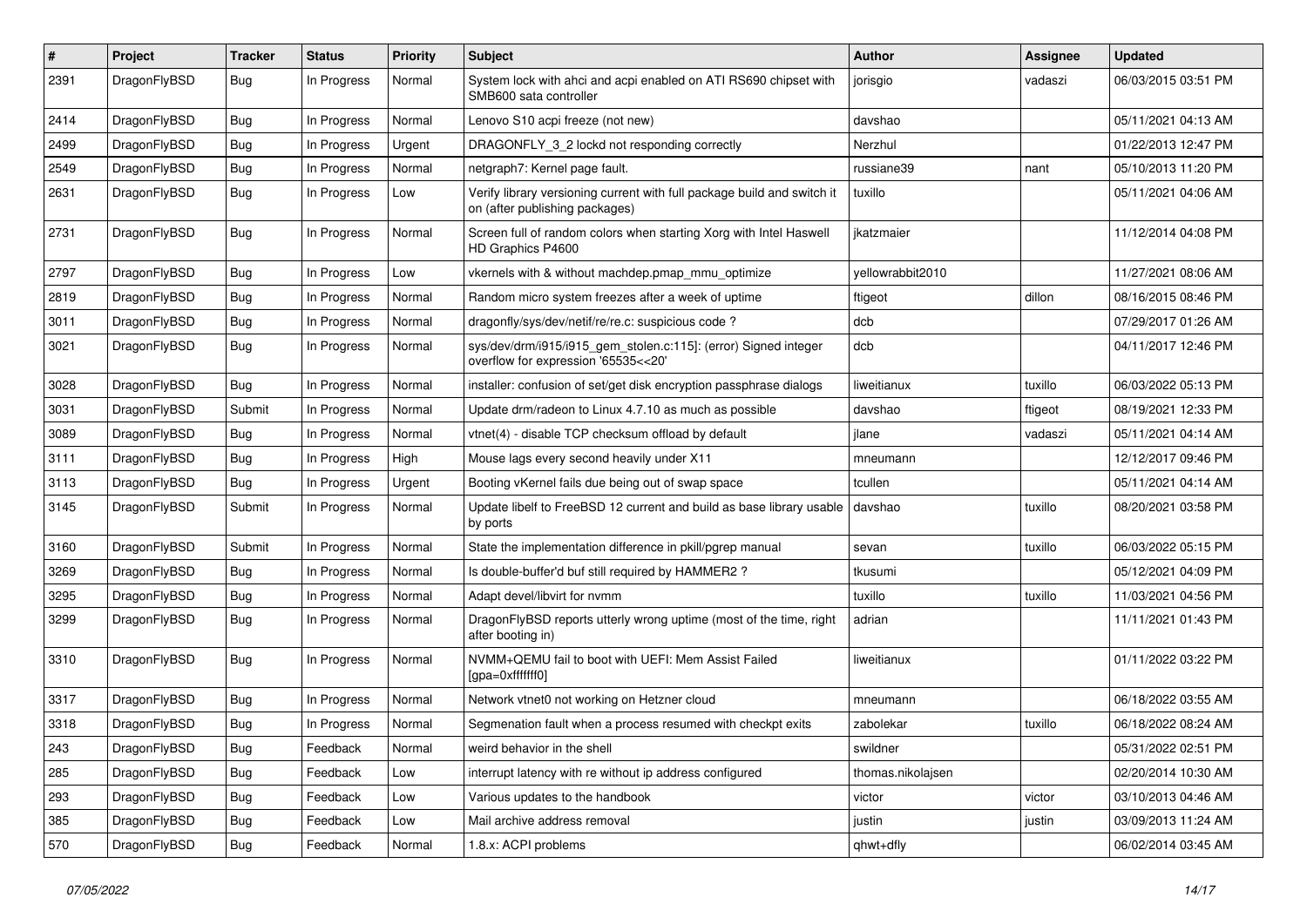| #    | Project      | <b>Tracker</b> | <b>Status</b> | <b>Priority</b> | Subject                                                                                                   | <b>Author</b>     | <b>Assignee</b> | <b>Updated</b>      |
|------|--------------|----------------|---------------|-----------------|-----------------------------------------------------------------------------------------------------------|-------------------|-----------------|---------------------|
| 2391 | DragonFlyBSD | Bug            | In Progress   | Normal          | System lock with ahci and acpi enabled on ATI RS690 chipset with<br>SMB600 sata controller                | jorisgio          | vadaszi         | 06/03/2015 03:51 PM |
| 2414 | DragonFlyBSD | Bug            | In Progress   | Normal          | Lenovo S10 acpi freeze (not new)                                                                          | davshao           |                 | 05/11/2021 04:13 AM |
| 2499 | DragonFlyBSD | <b>Bug</b>     | In Progress   | Urgent          | DRAGONFLY 3 2 lockd not responding correctly                                                              | Nerzhul           |                 | 01/22/2013 12:47 PM |
| 2549 | DragonFlyBSD | Bug            | In Progress   | Normal          | netgraph7: Kernel page fault.                                                                             | russiane39        | nant            | 05/10/2013 11:20 PM |
| 2631 | DragonFlyBSD | <b>Bug</b>     | In Progress   | Low             | Verify library versioning current with full package build and switch it<br>on (after publishing packages) | tuxillo           |                 | 05/11/2021 04:06 AM |
| 2731 | DragonFlyBSD | Bug            | In Progress   | Normal          | Screen full of random colors when starting Xorg with Intel Haswell<br>HD Graphics P4600                   | ikatzmaier        |                 | 11/12/2014 04:08 PM |
| 2797 | DragonFlyBSD | Bug            | In Progress   | Low             | vkernels with & without machdep.pmap_mmu_optimize                                                         | yellowrabbit2010  |                 | 11/27/2021 08:06 AM |
| 2819 | DragonFlyBSD | <b>Bug</b>     | In Progress   | Normal          | Random micro system freezes after a week of uptime                                                        | ftigeot           | dillon          | 08/16/2015 08:46 PM |
| 3011 | DragonFlyBSD | <b>Bug</b>     | In Progress   | Normal          | dragonfly/sys/dev/netif/re/re.c: suspicious code?                                                         | dcb               |                 | 07/29/2017 01:26 AM |
| 3021 | DragonFlyBSD | Bug            | In Progress   | Normal          | sys/dev/drm/i915/i915_gem_stolen.c:115]: (error) Signed integer<br>overflow for expression '65535<<20'    | dcb               |                 | 04/11/2017 12:46 PM |
| 3028 | DragonFlyBSD | Bug            | In Progress   | Normal          | installer: confusion of set/get disk encryption passphrase dialogs                                        | liweitianux       | tuxillo         | 06/03/2022 05:13 PM |
| 3031 | DragonFlyBSD | Submit         | In Progress   | Normal          | Update drm/radeon to Linux 4.7.10 as much as possible                                                     | davshao           | ftigeot         | 08/19/2021 12:33 PM |
| 3089 | DragonFlyBSD | <b>Bug</b>     | In Progress   | Normal          | vtnet(4) - disable TCP checksum offload by default                                                        | jlane             | vadaszi         | 05/11/2021 04:14 AM |
| 3111 | DragonFlyBSD | Bug            | In Progress   | High            | Mouse lags every second heavily under X11                                                                 | mneumann          |                 | 12/12/2017 09:46 PM |
| 3113 | DragonFlyBSD | <b>Bug</b>     | In Progress   | Urgent          | Booting vKernel fails due being out of swap space                                                         | tcullen           |                 | 05/11/2021 04:14 AM |
| 3145 | DragonFlyBSD | Submit         | In Progress   | Normal          | Update libelf to FreeBSD 12 current and build as base library usable<br>by ports                          | davshao           | tuxillo         | 08/20/2021 03:58 PM |
| 3160 | DragonFlyBSD | Submit         | In Progress   | Normal          | State the implementation difference in pkill/pgrep manual                                                 | sevan             | tuxillo         | 06/03/2022 05:15 PM |
| 3269 | DragonFlyBSD | <b>Bug</b>     | In Progress   | Normal          | Is double-buffer'd buf still required by HAMMER2 ?                                                        | tkusumi           |                 | 05/12/2021 04:09 PM |
| 3295 | DragonFlyBSD | <b>Bug</b>     | In Progress   | Normal          | Adapt devel/libvirt for nvmm                                                                              | tuxillo           | tuxillo         | 11/03/2021 04:56 PM |
| 3299 | DragonFlyBSD | <b>Bug</b>     | In Progress   | Normal          | DragonFlyBSD reports utterly wrong uptime (most of the time, right<br>after booting in)                   | adrian            |                 | 11/11/2021 01:43 PM |
| 3310 | DragonFlyBSD | Bug            | In Progress   | Normal          | NVMM+QEMU fail to boot with UEFI: Mem Assist Failed<br>[gpa=0xfffffff0]                                   | liweitianux       |                 | 01/11/2022 03:22 PM |
| 3317 | DragonFlyBSD | Bug            | In Progress   | Normal          | Network vtnet0 not working on Hetzner cloud                                                               | mneumann          |                 | 06/18/2022 03:55 AM |
| 3318 | DragonFlyBSD | <b>Bug</b>     | In Progress   | Normal          | Segmenation fault when a process resumed with checkpt exits                                               | zabolekar         | tuxillo         | 06/18/2022 08:24 AM |
| 243  | DragonFlyBSD | Bug            | Feedback      | Normal          | weird behavior in the shell                                                                               | swildner          |                 | 05/31/2022 02:51 PM |
| 285  | DragonFlyBSD | <b>Bug</b>     | Feedback      | Low             | interrupt latency with re without ip address configured                                                   | thomas.nikolajsen |                 | 02/20/2014 10:30 AM |
| 293  | DragonFlyBSD | <b>Bug</b>     | Feedback      | Low             | Various updates to the handbook                                                                           | victor            | victor          | 03/10/2013 04:46 AM |
| 385  | DragonFlyBSD | <b>Bug</b>     | Feedback      | Low             | Mail archive address removal                                                                              | justin            | justin          | 03/09/2013 11:24 AM |
| 570  | DragonFlyBSD | <b>Bug</b>     | Feedback      | Normal          | 1.8.x: ACPI problems                                                                                      | qhwt+dfly         |                 | 06/02/2014 03:45 AM |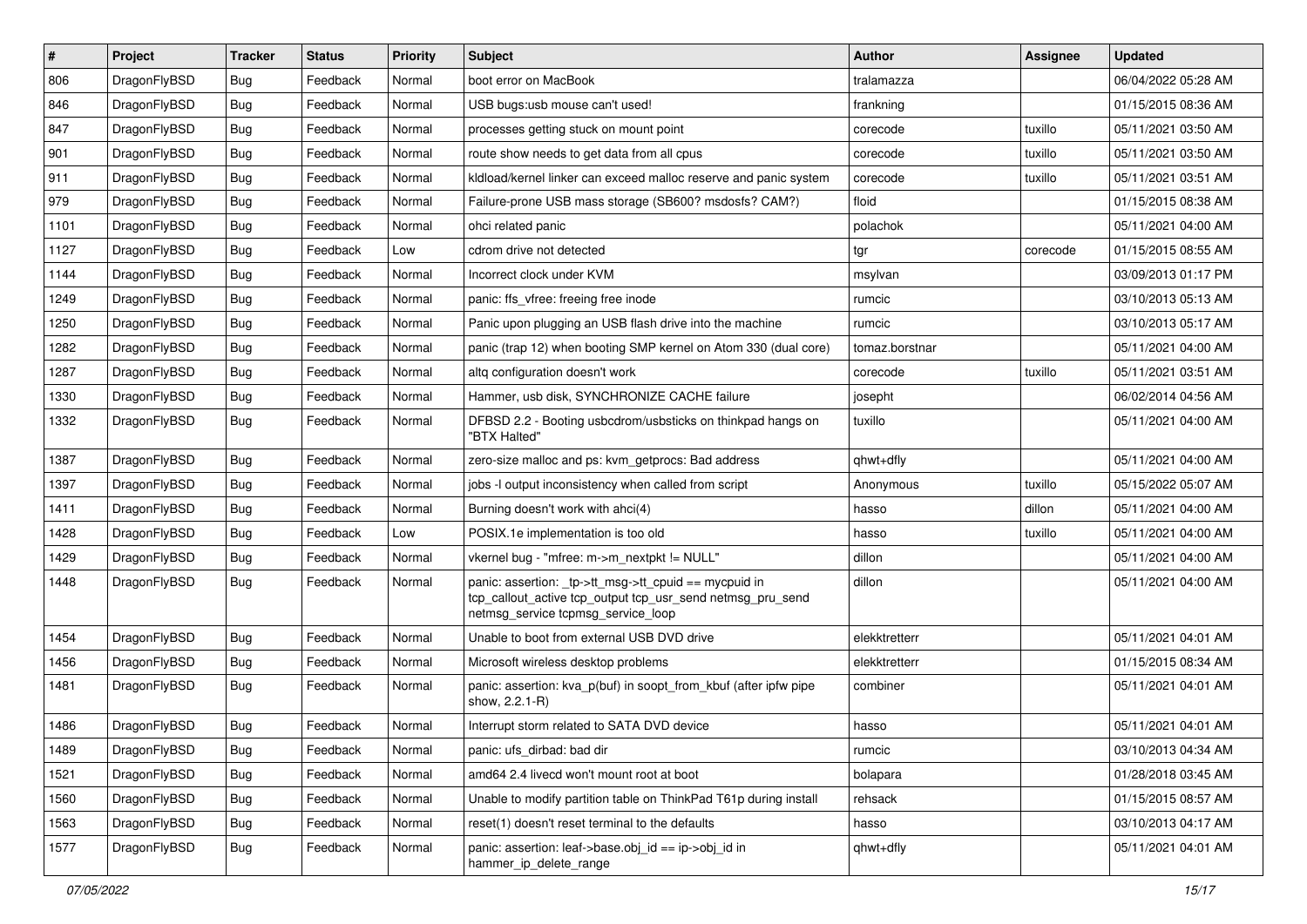| #    | Project      | <b>Tracker</b> | <b>Status</b> | <b>Priority</b> | Subject                                                                                                                                                   | <b>Author</b>  | <b>Assignee</b> | <b>Updated</b>      |
|------|--------------|----------------|---------------|-----------------|-----------------------------------------------------------------------------------------------------------------------------------------------------------|----------------|-----------------|---------------------|
| 806  | DragonFlyBSD | Bug            | Feedback      | Normal          | boot error on MacBook                                                                                                                                     | tralamazza     |                 | 06/04/2022 05:28 AM |
| 846  | DragonFlyBSD | <b>Bug</b>     | Feedback      | Normal          | USB bugs:usb mouse can't used!                                                                                                                            | frankning      |                 | 01/15/2015 08:36 AM |
| 847  | DragonFlyBSD | Bug            | Feedback      | Normal          | processes getting stuck on mount point                                                                                                                    | corecode       | tuxillo         | 05/11/2021 03:50 AM |
| 901  | DragonFlyBSD | Bug            | Feedback      | Normal          | route show needs to get data from all cpus                                                                                                                | corecode       | tuxillo         | 05/11/2021 03:50 AM |
| 911  | DragonFlyBSD | Bug            | Feedback      | Normal          | kldload/kernel linker can exceed malloc reserve and panic system                                                                                          | corecode       | tuxillo         | 05/11/2021 03:51 AM |
| 979  | DragonFlyBSD | Bug            | Feedback      | Normal          | Failure-prone USB mass storage (SB600? msdosfs? CAM?)                                                                                                     | floid          |                 | 01/15/2015 08:38 AM |
| 1101 | DragonFlyBSD | Bug            | Feedback      | Normal          | ohci related panic                                                                                                                                        | polachok       |                 | 05/11/2021 04:00 AM |
| 1127 | DragonFlyBSD | Bug            | Feedback      | Low             | cdrom drive not detected                                                                                                                                  | tgr            | corecode        | 01/15/2015 08:55 AM |
| 1144 | DragonFlyBSD | Bug            | Feedback      | Normal          | Incorrect clock under KVM                                                                                                                                 | msylvan        |                 | 03/09/2013 01:17 PM |
| 1249 | DragonFlyBSD | Bug            | Feedback      | Normal          | panic: ffs vfree: freeing free inode                                                                                                                      | rumcic         |                 | 03/10/2013 05:13 AM |
| 1250 | DragonFlyBSD | Bug            | Feedback      | Normal          | Panic upon plugging an USB flash drive into the machine                                                                                                   | rumcic         |                 | 03/10/2013 05:17 AM |
| 1282 | DragonFlyBSD | Bug            | Feedback      | Normal          | panic (trap 12) when booting SMP kernel on Atom 330 (dual core)                                                                                           | tomaz.borstnar |                 | 05/11/2021 04:00 AM |
| 1287 | DragonFlyBSD | Bug            | Feedback      | Normal          | altg configuration doesn't work                                                                                                                           | corecode       | tuxillo         | 05/11/2021 03:51 AM |
| 1330 | DragonFlyBSD | <b>Bug</b>     | Feedback      | Normal          | Hammer, usb disk, SYNCHRONIZE CACHE failure                                                                                                               | josepht        |                 | 06/02/2014 04:56 AM |
| 1332 | DragonFlyBSD | Bug            | Feedback      | Normal          | DFBSD 2.2 - Booting usbcdrom/usbsticks on thinkpad hangs on<br>"BTX Halted"                                                                               | tuxillo        |                 | 05/11/2021 04:00 AM |
| 1387 | DragonFlyBSD | <b>Bug</b>     | Feedback      | Normal          | zero-size malloc and ps: kvm getprocs: Bad address                                                                                                        | qhwt+dfly      |                 | 05/11/2021 04:00 AM |
| 1397 | DragonFlyBSD | Bug            | Feedback      | Normal          | jobs -I output inconsistency when called from script                                                                                                      | Anonymous      | tuxillo         | 05/15/2022 05:07 AM |
| 1411 | DragonFlyBSD | <b>Bug</b>     | Feedback      | Normal          | Burning doesn't work with ahci(4)                                                                                                                         | hasso          | dillon          | 05/11/2021 04:00 AM |
| 1428 | DragonFlyBSD | <b>Bug</b>     | Feedback      | Low             | POSIX.1e implementation is too old                                                                                                                        | hasso          | tuxillo         | 05/11/2021 04:00 AM |
| 1429 | DragonFlyBSD | <b>Bug</b>     | Feedback      | Normal          | vkernel bug - "mfree: m->m_nextpkt != NULL"                                                                                                               | dillon         |                 | 05/11/2021 04:00 AM |
| 1448 | DragonFlyBSD | Bug            | Feedback      | Normal          | panic: assertion: _tp->tt_msg->tt_cpuid == mycpuid in<br>tcp_callout_active tcp_output tcp_usr_send netmsg_pru_send<br>netmsg_service tcpmsg_service_loop | dillon         |                 | 05/11/2021 04:00 AM |
| 1454 | DragonFlyBSD | Bug            | Feedback      | Normal          | Unable to boot from external USB DVD drive                                                                                                                | elekktretterr  |                 | 05/11/2021 04:01 AM |
| 1456 | DragonFlyBSD | Bug            | Feedback      | Normal          | Microsoft wireless desktop problems                                                                                                                       | elekktretterr  |                 | 01/15/2015 08:34 AM |
| 1481 | DragonFlyBSD | <b>Bug</b>     | Feedback      | Normal          | panic: assertion: kva p(buf) in soopt from kbuf (after ipfw pipe<br>show, 2.2.1-R)                                                                        | combiner       |                 | 05/11/2021 04:01 AM |
| 1486 | DragonFlyBSD | Bug            | Feedback      | Normal          | Interrupt storm related to SATA DVD device                                                                                                                | hasso          |                 | 05/11/2021 04:01 AM |
| 1489 | DragonFlyBSD | <b>Bug</b>     | Feedback      | Normal          | panic: ufs dirbad: bad dir                                                                                                                                | rumcic         |                 | 03/10/2013 04:34 AM |
| 1521 | DragonFlyBSD | <b>Bug</b>     | Feedback      | Normal          | amd64 2.4 livecd won't mount root at boot                                                                                                                 | bolapara       |                 | 01/28/2018 03:45 AM |
| 1560 | DragonFlyBSD | <b>Bug</b>     | Feedback      | Normal          | Unable to modify partition table on ThinkPad T61p during install                                                                                          | rehsack        |                 | 01/15/2015 08:57 AM |
| 1563 | DragonFlyBSD | Bug            | Feedback      | Normal          | reset(1) doesn't reset terminal to the defaults                                                                                                           | hasso          |                 | 03/10/2013 04:17 AM |
| 1577 | DragonFlyBSD | <b>Bug</b>     | Feedback      | Normal          | panic: assertion: leaf->base.obj_id == ip->obj_id in<br>hammer_ip_delete_range                                                                            | qhwt+dfly      |                 | 05/11/2021 04:01 AM |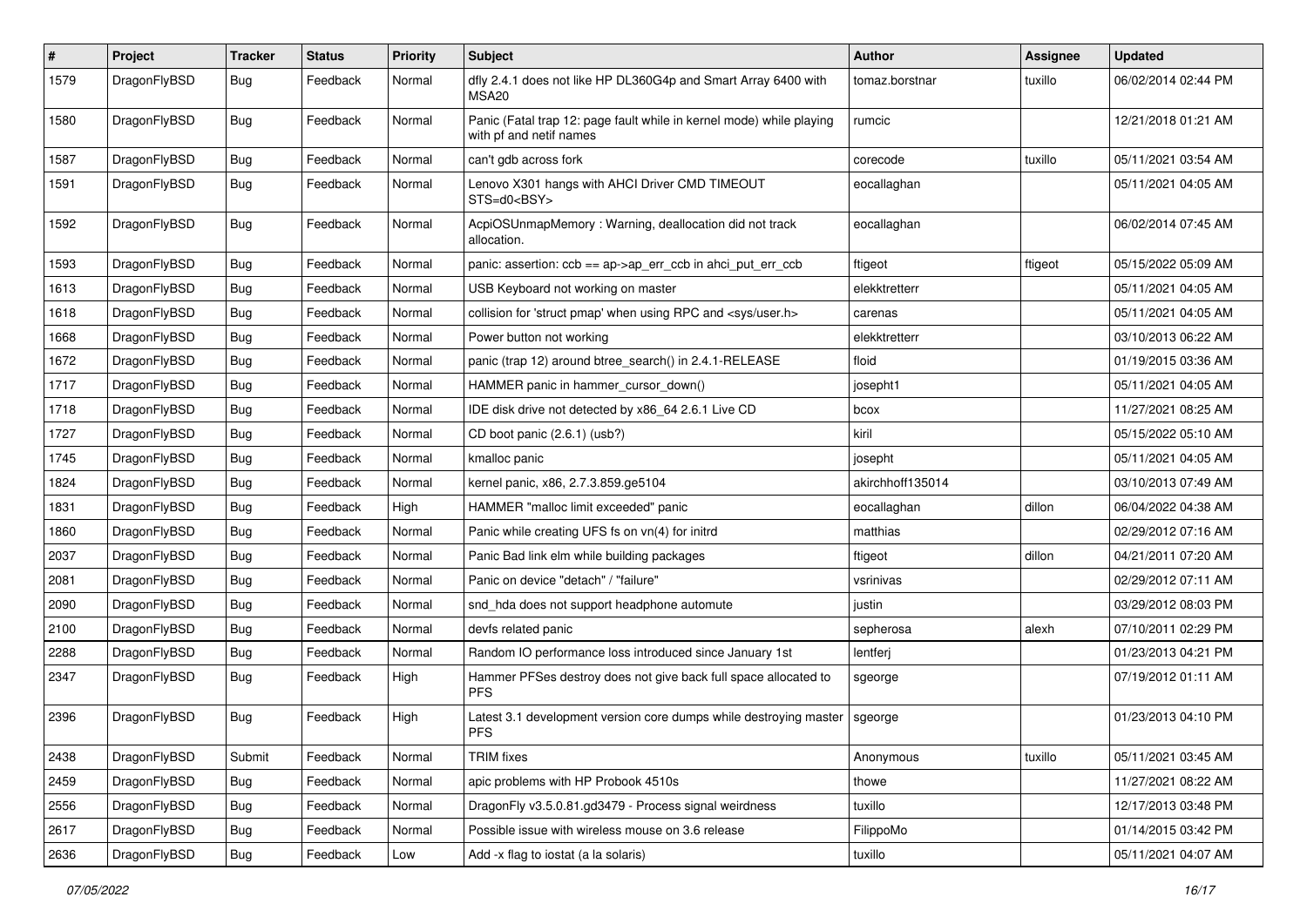| $\pmb{\#}$ | Project      | <b>Tracker</b> | <b>Status</b> | <b>Priority</b> | Subject                                                                                         | Author           | Assignee | <b>Updated</b>      |
|------------|--------------|----------------|---------------|-----------------|-------------------------------------------------------------------------------------------------|------------------|----------|---------------------|
| 1579       | DragonFlyBSD | Bug            | Feedback      | Normal          | dfly 2.4.1 does not like HP DL360G4p and Smart Array 6400 with<br>MSA <sub>20</sub>             | tomaz.borstnar   | tuxillo  | 06/02/2014 02:44 PM |
| 1580       | DragonFlyBSD | Bug            | Feedback      | Normal          | Panic (Fatal trap 12: page fault while in kernel mode) while playing<br>with pf and netif names | rumcic           |          | 12/21/2018 01:21 AM |
| 1587       | DragonFlyBSD | Bug            | Feedback      | Normal          | can't gdb across fork                                                                           | corecode         | tuxillo  | 05/11/2021 03:54 AM |
| 1591       | DragonFlyBSD | Bug            | Feedback      | Normal          | Lenovo X301 hangs with AHCI Driver CMD TIMEOUT<br>STS=d0 <bsy></bsy>                            | eocallaghan      |          | 05/11/2021 04:05 AM |
| 1592       | DragonFlyBSD | Bug            | Feedback      | Normal          | AcpiOSUnmapMemory: Warning, deallocation did not track<br>allocation.                           | eocallaghan      |          | 06/02/2014 07:45 AM |
| 1593       | DragonFlyBSD | Bug            | Feedback      | Normal          | panic: assertion: $\cosh = a$ p->ap err $\cosh$ in ahci put err $\cosh$                         | ftigeot          | ftigeot  | 05/15/2022 05:09 AM |
| 1613       | DragonFlyBSD | <b>Bug</b>     | Feedback      | Normal          | USB Keyboard not working on master                                                              | elekktretterr    |          | 05/11/2021 04:05 AM |
| 1618       | DragonFlyBSD | Bug            | Feedback      | Normal          | collision for 'struct pmap' when using RPC and <sys user.h=""></sys>                            | carenas          |          | 05/11/2021 04:05 AM |
| 1668       | DragonFlyBSD | <b>Bug</b>     | Feedback      | Normal          | Power button not working                                                                        | elekktretterr    |          | 03/10/2013 06:22 AM |
| 1672       | DragonFlyBSD | <b>Bug</b>     | Feedback      | Normal          | panic (trap 12) around btree search() in 2.4.1-RELEASE                                          | floid            |          | 01/19/2015 03:36 AM |
| 1717       | DragonFlyBSD | Bug            | Feedback      | Normal          | HAMMER panic in hammer_cursor_down()                                                            | josepht1         |          | 05/11/2021 04:05 AM |
| 1718       | DragonFlyBSD | <b>Bug</b>     | Feedback      | Normal          | IDE disk drive not detected by x86 64 2.6.1 Live CD                                             | bcox             |          | 11/27/2021 08:25 AM |
| 1727       | DragonFlyBSD | <b>Bug</b>     | Feedback      | Normal          | CD boot panic (2.6.1) (usb?)                                                                    | kiril            |          | 05/15/2022 05:10 AM |
| 1745       | DragonFlyBSD | <b>Bug</b>     | Feedback      | Normal          | kmalloc panic                                                                                   | josepht          |          | 05/11/2021 04:05 AM |
| 1824       | DragonFlyBSD | <b>Bug</b>     | Feedback      | Normal          | kernel panic, x86, 2.7.3.859.ge5104                                                             | akirchhoff135014 |          | 03/10/2013 07:49 AM |
| 1831       | DragonFlyBSD | Bug            | Feedback      | High            | HAMMER "malloc limit exceeded" panic                                                            | eocallaghan      | dillon   | 06/04/2022 04:38 AM |
| 1860       | DragonFlyBSD | <b>Bug</b>     | Feedback      | Normal          | Panic while creating UFS fs on vn(4) for initrd                                                 | matthias         |          | 02/29/2012 07:16 AM |
| 2037       | DragonFlyBSD | <b>Bug</b>     | Feedback      | Normal          | Panic Bad link elm while building packages                                                      | ftigeot          | dillon   | 04/21/2011 07:20 AM |
| 2081       | DragonFlyBSD | Bug            | Feedback      | Normal          | Panic on device "detach" / "failure"                                                            | vsrinivas        |          | 02/29/2012 07:11 AM |
| 2090       | DragonFlyBSD | <b>Bug</b>     | Feedback      | Normal          | snd_hda does not support headphone automute                                                     | justin           |          | 03/29/2012 08:03 PM |
| 2100       | DragonFlyBSD | Bug            | Feedback      | Normal          | devfs related panic                                                                             | sepherosa        | alexh    | 07/10/2011 02:29 PM |
| 2288       | DragonFlyBSD | <b>Bug</b>     | Feedback      | Normal          | Random IO performance loss introduced since January 1st                                         | lentferj         |          | 01/23/2013 04:21 PM |
| 2347       | DragonFlyBSD | <b>Bug</b>     | Feedback      | High            | Hammer PFSes destroy does not give back full space allocated to<br><b>PFS</b>                   | sgeorge          |          | 07/19/2012 01:11 AM |
| 2396       | DragonFlyBSD | Bug            | Feedback      | High            | Latest 3.1 development version core dumps while destroying master<br><b>PFS</b>                 | sgeorge          |          | 01/23/2013 04:10 PM |
| 2438       | DragonFlyBSD | Submit         | Feedback      | Normal          | <b>TRIM</b> fixes                                                                               | Anonymous        | tuxillo  | 05/11/2021 03:45 AM |
| 2459       | DragonFlyBSD | <b>Bug</b>     | Feedback      | Normal          | apic problems with HP Probook 4510s                                                             | thowe            |          | 11/27/2021 08:22 AM |
| 2556       | DragonFlyBSD | <b>Bug</b>     | Feedback      | Normal          | DragonFly v3.5.0.81.gd3479 - Process signal weirdness                                           | tuxillo          |          | 12/17/2013 03:48 PM |
| 2617       | DragonFlyBSD | <b>Bug</b>     | Feedback      | Normal          | Possible issue with wireless mouse on 3.6 release                                               | FilippoMo        |          | 01/14/2015 03:42 PM |
| 2636       | DragonFlyBSD | Bug            | Feedback      | Low             | Add -x flag to iostat (a la solaris)                                                            | tuxillo          |          | 05/11/2021 04:07 AM |